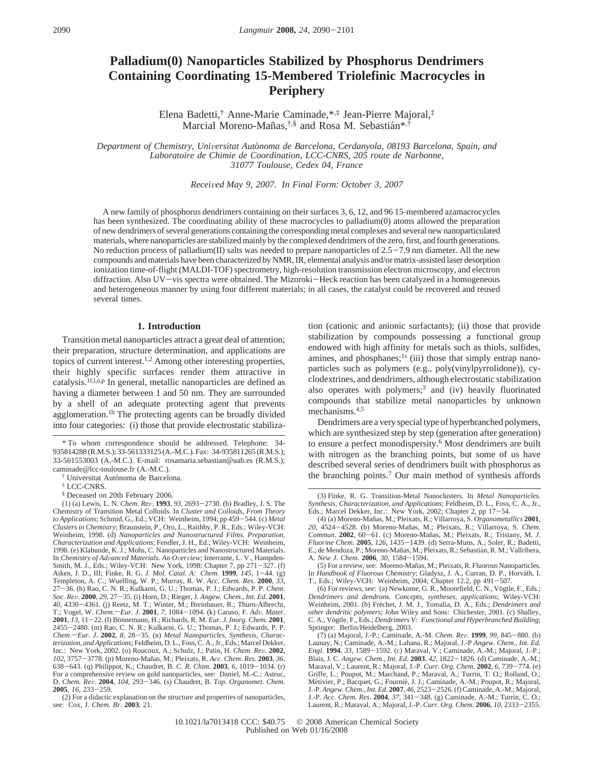# **Palladium(0) Nanoparticles Stabilized by Phosphorus Dendrimers Containing Coordinating 15-Membered Triolefinic Macrocycles in Periphery**

Elena Badetti,† Anne-Marie Caminade,\*,‡ Jean-Pierre Majoral,‡ Marcial Moreno-Mañas,<sup>†,§</sup> and Rosa M. Sebastián\*<sup>,†</sup>

*Department of Chemistry, Uni*V*ersitat Auto*`*noma de Barcelona, Cerdanyola, 08193 Barcelona, Spain, and Laboratoire de Chimie de Coordination, LCC-CNRS, 205 route de Narbonne, 31077 Toulouse, Cedex 04, France*

*Recei*V*ed May 9, 2007. In Final Form: October 3, 2007*

A new family of phosphorus dendrimers containing on their surfaces 3, 6, 12, and 96 15-membered azamacrocycles has been synthesized. The coordinating ability of these macrocycles to palladium(0) atoms allowed the preparation of new dendrimers of several generations containing the corresponding metal complexes and several new nanoparticulated materials, where nanoparticles are stabilized mainly by the complexed dendrimers of the zero, first, and fourth generations. No reduction process of palladium(II) salts was needed to prepare nanoparticles of  $2.5-7.9$  nm diameter. All the new compounds and materials have been characterized by NMR, IR, elemental analysis and/or matrix-assisted laser desorption ionization time-of-flight (MALDI-TOF) spectrometry, high-resolution transmission electron microscopy, and electron diffraction. Also UV-vis spectra were obtained. The Mizoroki-Heck reaction has been catalyzed in a homogeneous and heterogeneous manner by using four different materials; in all cases, the catalyst could be recovered and reused several times.

### **1. Introduction**

Transition metal nanoparticles attract a great deal of attention; their preparation, structure determination, and applications are topics of current interest.1,2 Among other interesting properties, their highly specific surfaces render them attractive in catalysis.<sup>1f,l,o,p</sup> In general, metallic nanoparticles are defined as having a diameter between 1 and 50 nm. They are surrounded by a shell of an adequate protecting agent that prevents agglomeration.<sup>1b</sup> The protecting agents can be broadly divided into four categories: (i) those that provide electrostatic stabiliza-

<sup>†</sup> Universitat Autònoma de Barcelona.

(2) For a didactic explanation on the structure and properties of nanoparticles, see: Cox, J. *Chem. Br*. **2003**, 21.

tion (cationic and anionic surfactants); (ii) those that provide stabilization by compounds possessing a functional group endowed with high affinity for metals such as thiols, sulfides, amines, and phosphanes;<sup>1s</sup> (iii) those that simply entrap nanoparticles such as polymers (e.g., poly(vinylpyrrolidone)), cyclodextrines, and dendrimers, although electrostatic stabilization also operates with polymers;<sup>3</sup> and (iv) heavily fluorinated compounds that stabilize metal nanoparticles by unknown mechanisms.4,5

Dendrimers are a very special type of hyperbranched polymers, which are synthesized step by step (generation after generation) to ensure a perfect monodispersity.<sup>6</sup> Most dendrimers are built with nitrogen as the branching points, but some of us have described several series of dendrimers built with phosphorus as the branching points.7 Our main method of synthesis affords

<sup>\*</sup> To whom correspondence should be addressed. Telephone: 34- 935814288 (R.M.S.); 33-561333125 (A.-M.C.). Fax: 34-935811265 (R.M.S.); 33-561553003 (A.-M.C.). E-mail: rosamaria.sebastian@uab.es (R.M.S.); caminade@lcc-toulouse.fr (A.-M.C.).

<sup>‡</sup> LCC-CNRS.

<sup>§</sup> Deceased on 20th February 2006.<br>(1) (a) Lewis, L. N. *Chem. Rev.* **1993**, 93, 2693–2730. (b) Bradley, J. S. The (1) (a) Lewis, L. N. *Chem. Re*V. **<sup>1993</sup>**, *<sup>93</sup>*, 2693-2730. (b) Bradley, J. S. The Chemistry of Transition Metal Colloids. In *Cluster and Colloids, From Theory to Applications*; Schmid, G., Ed.; VCH: Weinheim, 1994; pp 459-544. (c) *Metal Clusters in Chemistry*; Braunstein, P., Oro, L., Raithby, P. R., Eds.; Wiley-VCH: Weinheim, 1998. (d) *Nanoparticles and Nanostructured Films. Preparation, Characterization and Applications*; Fendler, J. H., Ed.; Wiley-VCH: Weinheim, 1998. (e) Klabunde, K. J.; Mohs, C. Nanoparticles and Nanostructured Materials.<br>In Chemistry of Advanced Materials. An Overview; Interrante, L. V., Hampden-Smith, M. J., Eds.; Wiley-VCH: New York, 1998; Chapter 7, pp 271-327. (f) Smith, M. J., Eds.; Wiley-VCH: New York, 1998; Chapter 7, pp 271–327. (f)<br>Aiken, J. D., III; Finke, R. G. *J. Mol. Catal. A: Chem.* **1999**, *145*, 1–44. (g)<br>Templeton, A. C.; Wuelfing, W. P.; Murray, R. W. Acc. Chem. Res. <sup>27</sup>-36. (h) Rao, C. N. R.; Kulkarni, G. U.; Thomas, P. J.; Edwards, P. P. *Chem. Soc. Re*V. **<sup>2000</sup>**, *<sup>29</sup>*, 27-35. (i) Horn, D.; Rieger, J. *Angew. Chem., Int. Ed*. **<sup>2001</sup>**, *<sup>40</sup>*, 4330-4361. (j) Reetz, M. T.; Winter, M.; Breinbauer, R.; Thurn-Albrecht, T.; Vogel, W. *Chem.—Eur. J.* **2001**, 7, 1084-1094. (k) Caruso, F. *Adv. Mater.* **2001**, *13*, 11-22. (l) Bönnemann, H.; Richards, R. M. *Eur. J. Inorg. Chem.* **2001**, **2001**, *13*, 11–22. (1) Bönnemann, H.; Richards, R. M. *Eur. J. Inorg. Chem.* **2001**, <br>2455–2480. (m) Rao, C. N. R.; Kulkarni, G. U.; Thomas, P. J.; Edwards, P. P.<br>*Chem —Eur. J. 2002, 8, 28–35. (n) Metal Nanoparticles, S* Chem.-Eur. J. 2002, 8, 28-35. (n) *Metal Nanoparticles. Synthesis, Characterization, and Applications*; Feldheim, D. L., Foss, C. A., Jr., Eds.; Marcel Dekker, Inc.: New York, 2002. (o) Roucoux, A.; Schulz, J.; Patin, H. *Chem. Re*V. **<sup>2002</sup>**, *<sup>102</sup>*, 3757-3778. (p) Moreno-Man˜as, M.; Pleixats, R. *Acc. Chem. Res*. **<sup>2003</sup>**, *<sup>36</sup>*, <sup>638</sup>-643. (q) Philippot, K.; Chaudret, B. *C. R. Chim.* **<sup>2003</sup>**, *<sup>6</sup>*, 1019-1034. (r) For a comprehensive review on gold nanoparticles, see: Daniel, M.-C.; Astruc, D. *Chem. Rev.* **2004**, *104*, 293–346. (s) Chaudret, B. *Top. Organomet. Chem.*<br>**2005**, *16*, 233–259.<br>(2) For a didactic explanation on the structure and properties of nanoparticles

<sup>(3)</sup> Finke, R. G. Transition-Metal Nanoclusters. In *Metal Nanoparticles. Synthesis, Characterization, and Applications*; Feldheim, D. L., Foss, C. A., Jr., Eds.; Marcel Dekker, Inc.: New York, 2002; Chapter 2, pp 17-54.

<sup>(4) (</sup>a) Moreno-Man˜as, M.; Pleixats, R.; Villarroya, S. *Organometallics* **2001**, 20, 4524-4528. (b) Moreno-Mañas, M.; Pleixats, R.; Villarroya, S. *Chem.*<br>*Commun.* **2002**, 60-61. (c) Moreno-Mañas, M.; Pleixats, R.; Tristany, M. J. *Commun.* **2002**, 60–61. (c) Moreno-Mañas, M.; Pleixats, R.; Tristany, M. *J. Fluorine Chem.* **2005**, *126*, 1435–1439. (d) Serra-Muns, A.; Soler, R.; Badetti, F. de Mendoza P. Moreno-Mañas M. Pleixats R. Sebastián R. M. E.; de Mendoza, P.; Moreno-Mañas, M.; Pleixats, R.; Sebastián, R. M.; Vallribera, A. *New J. Chem.* **<sup>2006</sup>**, *<sup>30</sup>*, 1584-1594.

<sup>(5)</sup> For a review, see: Moreno-Mañas, M.; Pleixats, R. Fluorous Nanoparticles. In *Handbook of Fluorous Chemistry*; Gladysz, J. A., Curran, D. P., Horváth, I.<br>T., Eds.; Wiley-VCH: Weinheim, 2004; Chapter 12.2, pp 491–507.<br>(6) For reviews see: (a) Newkome G. R. Moorefield C. N. Vöetle F. Eds.

<sup>(6)</sup> For reviews, see: (a) Newkome, G. R., Moorefield,  $\hat{C}$ . N., Vögtle, F., Eds.; Dendrimers and dendrons. Concepts, syntheses, applications; Wiley-VCH: Weinheim, 2001. (b) Fréchet, J. M. J., Tomalia, D. A., Eds.; *Dendrimers and other dendritic polymers*; John Wiley and Sons: Chichester, 2001. (c) Shalley, C. A., Vögtle, F., Eds.; *Dendrimers V: Functional and Hyperbranched Building*; Springer: Berlin/Heidelberg, 2003.<br>(7) (a) Majoral, J.-P.; Caminade, A.-M. Chem. Rev. 1999, 99, 845–880. (b)

<sup>(7) (</sup>a) Majoral, J.-P.; Caminade, A.-M. *Chem. Rev.* **1999**, 99, 845–880. (b) Launay, N.; Caminade, A.-M.; Lahana, R.; Majoral, J.-P *Angew. Chem., Int. Ed. Engl.* **1994**, 33, 1589–1592. (c) Maraval, V.; Caminade, A.-M. Blais, J. C. *Angew. Chem., Int. Ed.* **<sup>2003</sup>**, *<sup>42</sup>*, 1822-1826. (d) Caminade, A.-M.; Maraval, V.; Laurent, R.; Majoral, J.-P. *Curr. Org. Chem*. **<sup>2002</sup>**, *<sup>6</sup>*, 739-774. (e) Griffe, L.; Poupot, M.; Marchand, P.; Maraval, A.; Turrin, T. O.; Rolland, O.; Métivier, P.; Bacquet, G.; Fournié, J. J.; Caminade, A.-M.; Poupot, R.; Majoral,<br>J.-P. *Angew. Chem., Int. Ed.* 2007, 46, 2523–2526. (f) Caminade, A.-M.; Majoral,<br>J.-P. *Acc. Chem. Res.* 2004, 37, 341–348. (e) Caminade, A. J.-P. *Acc. Chem. Res*. **<sup>2004</sup>**, *<sup>37</sup>*, 341-348. (g) Caminade, A.-M.; Turrin, C. O.; Laurent, R.; Maraval, A.; Majoral, J.-P. *Curr. Org. Chem.* **<sup>2006</sup>**, *<sup>10</sup>*, 2333-2355.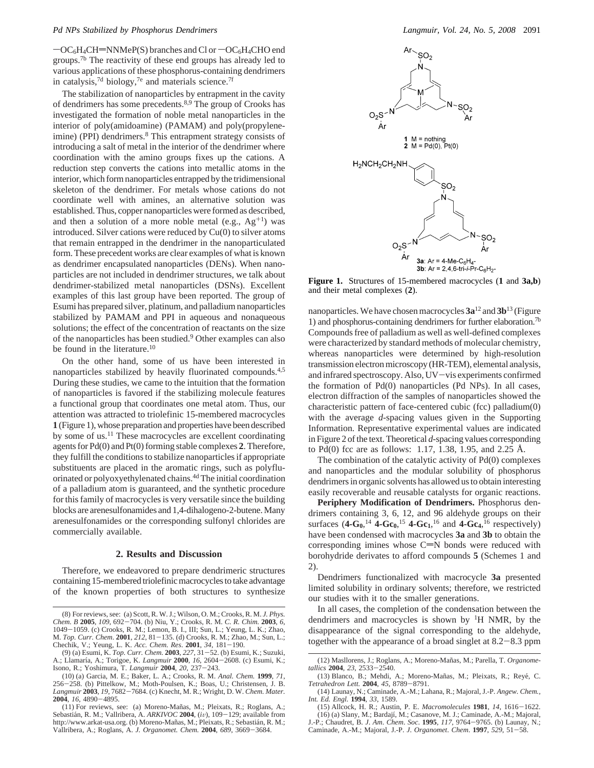$-OC<sub>6</sub>H<sub>4</sub>CH=NNMeP(S)$  branches and Cl or  $-OC<sub>6</sub>H<sub>4</sub>CHO$  end groups.7b The reactivity of these end groups has already led to various applications of these phosphorus-containing dendrimers in catalysis,<sup>7d</sup> biology,<sup>7e</sup> and materials science.<sup>7f</sup>

The stabilization of nanoparticles by entrapment in the cavity of dendrimers has some precedents.8,9 The group of Crooks has investigated the formation of noble metal nanoparticles in the interior of poly(amidoamine) (PAMAM) and poly(propyleneimine) (PPI) dendrimers.<sup>8</sup> This entrapment strategy consists of introducing a salt of metal in the interior of the dendrimer where coordination with the amino groups fixes up the cations. A reduction step converts the cations into metallic atoms in the interior, which form nanoparticles entrapped by the tridimensional skeleton of the dendrimer. For metals whose cations do not coordinate well with amines, an alternative solution was established. Thus, copper nanoparticles were formed as described, and then a solution of a more noble metal (e.g.,  $Ag^{+1}$ ) was introduced. Silver cations were reduced by Cu(0) to silver atoms that remain entrapped in the dendrimer in the nanoparticulated form. These precedent works are clear examples of what is known as dendrimer encapsulated nanoparticles (DENs). When nanoparticles are not included in dendrimer structures, we talk about dendrimer-stabilized metal nanoparticles (DSNs). Excellent examples of this last group have been reported. The group of Esumi has prepared silver, platinum, and palladium nanoparticles stabilized by PAMAM and PPI in aqueous and nonaqueous solutions; the effect of the concentration of reactants on the size of the nanoparticles has been studied.9 Other examples can also be found in the literature.<sup>10</sup>

On the other hand, some of us have been interested in nanoparticles stabilized by heavily fluorinated compounds.4,5 During these studies, we came to the intuition that the formation of nanoparticles is favored if the stabilizing molecule features a functional group that coordinates one metal atom. Thus, our attention was attracted to triolefinic 15-membered macrocycles **1** (Figure 1), whose preparation and properties have been described by some of us.<sup>11</sup> These macrocycles are excellent coordinating agents for Pd(0) and Pt(0) forming stable complexes **2**. Therefore, they fulfill the conditions to stabilize nanoparticles if appropriate substituents are placed in the aromatic rings, such as polyfluorinated or polyoxyethylenated chains.4d The initial coordination of a palladium atom is guaranteed, and the synthetic procedure for this family of macrocycles is very versatile since the building blocks are arenesulfonamides and 1,4-dihalogeno-2-butene. Many arenesulfonamides or the corresponding sulfonyl chlorides are commercially available.

# **2. Results and Discussion**

Therefore, we endeavored to prepare dendrimeric structures containing 15-membered triolefinic macrocycles to take advantage of the known properties of both structures to synthesize



**Figure 1.** Structures of 15-membered macrocycles (**1** and **3a,b**) and their metal complexes (**2**).

nanoparticles. We have chosen macrocycles **3a**<sup>12</sup> and **3b**<sup>13</sup> (Figure 1) and phosphorus-containing dendrimers for further elaboration.7b Compounds free of palladium as well as well-defined complexes were characterized by standard methods of molecular chemistry, whereas nanoparticles were determined by high-resolution transmission electron microscopy (HR-TEM), elemental analysis, and infrared spectroscopy. Also, UV-vis experiments confirmed the formation of Pd(0) nanoparticles (Pd NPs). In all cases, electron diffraction of the samples of nanoparticles showed the characteristic pattern of face-centered cubic (fcc) palladium(0) with the average *d*-spacing values given in the Supporting Information. Representative experimental values are indicated in Figure 2 of the text. Theoretical *d*-spacing values corresponding to Pd(0) fcc are as follows: 1.17, 1.38, 1.95, and 2.25 Å.

The combination of the catalytic activity of Pd(0) complexes and nanoparticles and the modular solubility of phosphorus dendrimers in organic solvents has allowed us to obtain interesting easily recoverable and reusable catalysts for organic reactions.

**Periphery Modification of Dendrimers.** Phosphorus dendrimers containing 3, 6, 12, and 96 aldehyde groups on their surfaces  $(4 - G_0)^{14}$  **4**- $G_0$ <sup>15</sup> **4**- $G_1$ <sup>16</sup> and **4**- $G_4$ <sup>16</sup> respectively) have been condensed with macrocycles **3a** and **3b** to obtain the corresponding imines whose  $C=N$  bonds were reduced with borohydride derivates to afford compounds **5** (Schemes 1 and 2).

Dendrimers functionalized with macrocycle **3a** presented limited solubility in ordinary solvents; therefore, we restricted our studies with it to the smaller generations.

In all cases, the completion of the condensation between the dendrimers and macrocycles is shown by 1H NMR, by the disappearance of the signal corresponding to the aldehyde, together with the appearance of a broad singlet at 8.2-8.3 ppm

<sup>(8)</sup> For reviews, see: (a) Scott, R. W. J.; Wilson, O. M.; Crooks, R. M. *J. Phys. Chem. B* **<sup>2005</sup>**, *<sup>109</sup>*, 692-704. (b) Niu, Y.; Crooks, R. M. *C. R. Chim.* **<sup>2003</sup>**, *<sup>6</sup>*, <sup>1049</sup>-1059. (c) Crooks, R. M.; Lemon, B. I., III; Sun, L.; Yeung, L. K.; Zhao, M. *Top. Curr. Chem*. **<sup>2001</sup>**, *<sup>212</sup>*, 81-135. (d) Crooks, R. M.; Zhao, M.; Sun, L.; Chechik, V.; Yeung, L. K. *Acc. Chem. Res*. **<sup>2001</sup>**, *<sup>34</sup>*, 181-190.

<sup>(9) (</sup>a) Esumi, K. *Top. Curr. Chem.* **2003**, 227, 31–52. (b) Esumi, K.; Suzuki, A.; Llamaría, A.; Torigoe, K. *Langmuir* **2000**, *16*, 2604–2608. (c) Esumi, K.; Isono. R.: Yoshimura. T. *Langmuir* **2004**. 20. 237–243. Isono, R.; Yoshimura, T. *Langmuir* **<sup>2004</sup>**, *<sup>20</sup>*, 237-243.

<sup>(10) (</sup>a) Garcia, M. E.; Baker, L. A.; Crooks, R. M. *Anal. Chem.* **1999**, *71*, <sup>256</sup>-258. (b) Pittelkow, M.; Moth-Poulsen, K.; Boas, U.; Christensen, J. B. *Langmuir* **<sup>2003</sup>**, *<sup>19</sup>*, 7682-7684. (c) Knecht, M. R.; Wright, D. W. *Chem. Mater.* **<sup>2004</sup>**, *<sup>16</sup>*, 4890-4895.

<sup>(11)</sup> For reviews, see: (a) Moreno-Mañas, M.; Pleixats, R.; Roglans, A.; Sebastián, R. M.; Vallribera, A.  $ARKIVOC$  2004, (iv), 109 - 129; available from Sebastián, R. M.; Vallribera, A. *ARKIVOC* **2004**, (*iv)*, 109–129; available from<br>http://www.arkat-usa.org. (b) Moreno-Mañas, M.; Pleixats, R.; Sebastián, R. M.; Vallribera, A.; Roglans, A. *J. Organomet. Chem.* **<sup>2004</sup>**, *<sup>689</sup>*, 3669-3684.

<sup>(12)</sup> Masllorens, J.; Roglans, A.; Moreno-Mañas, M.; Parella, T. Organome*tallics* **<sup>2004</sup>**, *<sup>23</sup>*, 2533-2540.

<sup>(13)</sup> Blanco, B.; Mehdi, A.; Moreno-Mañas, M.; Pleixats, R.; Reyé, C. *Tetrahedron Lett.* **<sup>2004</sup>**, *<sup>45</sup>*, 8789-8791.

<sup>(14)</sup> Launay, N.; Caminade, A.-M.; Lahana, R.; Majoral, J.-P. *Angew. Chem., Int. Ed. Engl.* **1994**, *33*, 1589.

<sup>(15)</sup> Allcock, H. R.; Austin, P. E. *Macromolecules* **<sup>1981</sup>**, *<sup>14</sup>*, 1616-1622. (16) (a) Slany, M.; Bardajı´, M.; Casanove, M. J.; Caminade, A.-M.; Majoral,

J.-P.; Chaudret, B. *<sup>J</sup>*. *Am*. *Chem*. *Soc*. **<sup>1995</sup>**, *<sup>117</sup>*, 9764-9765. (b) Launay, N.; Caminade, A.-M.; Majoral, J.-P. *<sup>J</sup>*. *Organomet*. *Chem*. **<sup>1997</sup>**, *<sup>529</sup>*, 51-58.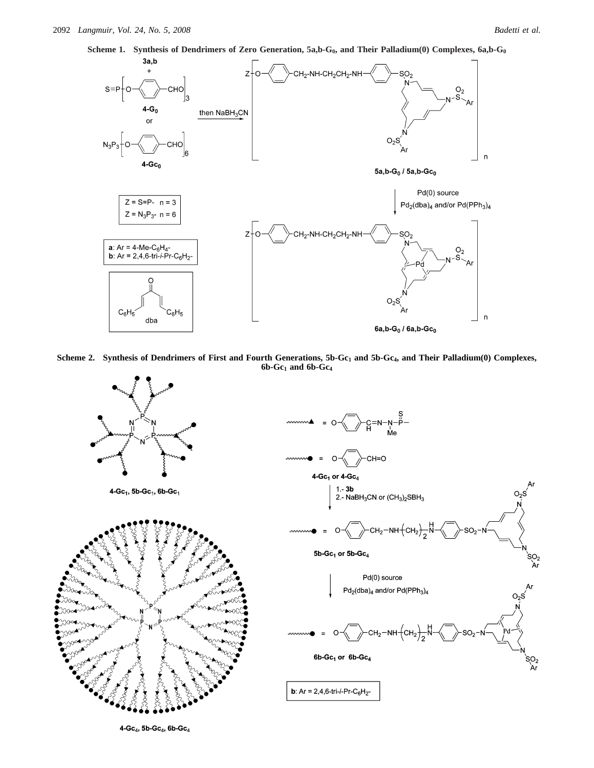

Scheme 2. Synthesis of Dendrimers of First and Fourth Generations, 5b-Gc<sub>1</sub> and 5b-Gc<sub>4</sub>, and Their Palladium(0) Complexes, **6b-Gc1 and 6b-Gc4**



 $4 - Gc_4$ , 5b- $Gc_4$ , 6b- $Gc_4$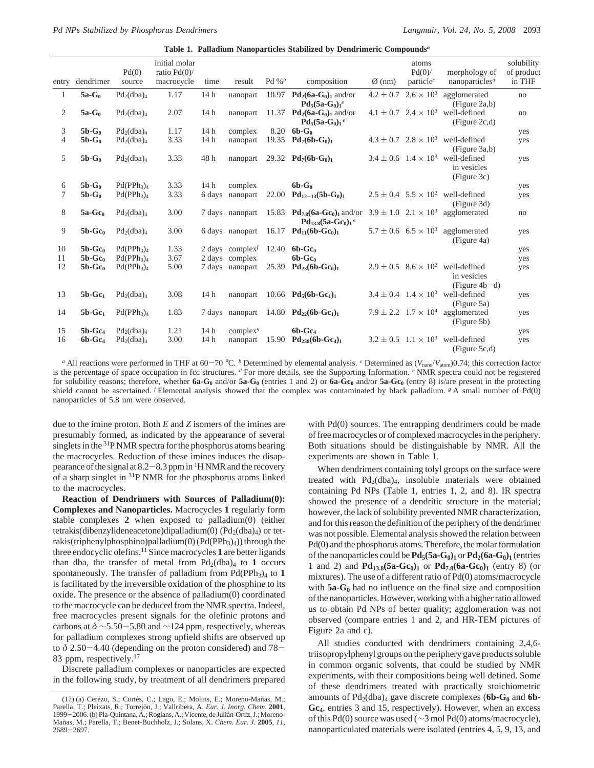**Table 1. Palladium Nanoparticles Stabilized by Dendrimeric Compounds***<sup>a</sup>*

| entry | dendrimer | Pd(0)<br>source                    | initial molar<br>ratio $Pd(0)$<br>macrocycle | time            | result                                   | Pd % $^b$ | composition                                                                                         | $\varnothing$ (nm) | atoms<br>Pd(0)<br>particle $^c$            | morphology of<br>nanoparticles <sup><math>d</math></sup>                       | solubility<br>of product<br>in THF |
|-------|-----------|------------------------------------|----------------------------------------------|-----------------|------------------------------------------|-----------|-----------------------------------------------------------------------------------------------------|--------------------|--------------------------------------------|--------------------------------------------------------------------------------|------------------------------------|
| 1     | $5a-G_0$  | $Pd_2(dba)_4$                      | 1.17                                         | 14h             | nanopart                                 | 10.97     | $Pd_2(6a-G_0)_1$ and/or                                                                             | $4.2 \pm 0.7$      | $2.6 \times 10^{3}$                        | agglomerated                                                                   | no                                 |
|       |           |                                    |                                              |                 |                                          |           | $Pd_5(5a-G_0)_1^e$                                                                                  |                    |                                            | (Figure 2a,b)                                                                  |                                    |
| 2     | $5a-G_0$  | $Pd_2(dba)_4$                      | 2.07                                         | 14h             | nanopart                                 | 11.37     | $Pd_2(6a-G_0)_1$ and/or<br>$Pd_{5}(5a-G_{0})_{1}$                                                   |                    | $4.1 \pm 0.7$ $2.4 \times 10^3$            | well-defined<br>(Figure 2c,d)                                                  | no                                 |
| 3     | $5b-G_0$  | $Pd_2(dba)_4$                      | 1.17                                         | 14h             | complex                                  | 8.20      | $6b-G_0$                                                                                            |                    |                                            |                                                                                | yes                                |
| 4     | $5b-G_0$  | $Pd_2(dba)_4$                      | 3.33                                         | 14h             | nanopart                                 | 19.35     | $Pd_7(6b-G_0)_1$                                                                                    |                    |                                            | $4.3 \pm 0.7$ $2.8 \times 10^3$ well-defined<br>(Figure 3a,b)                  | yes                                |
| 5     | $5b-G0$   | $Pd_2(dba)_4$                      | 3.33                                         | 48h             | nanopart                                 |           | 29.32 $Pd_7(6b-G_0)_1$                                                                              |                    |                                            | $3.4 \pm 0.6$ $1.4 \times 10^3$ well-defined<br>in vesicles<br>(Figure 3c)     | yes                                |
| 6     | $5b-G_0$  | Pd(PPh <sub>3</sub> ) <sub>4</sub> | 3.33                                         | 14h             | complex                                  |           | $6b-G0$                                                                                             |                    |                                            |                                                                                | yes                                |
| 7     | $5b-G_0$  | Pd(PPh <sub>3</sub> ) <sub>4</sub> | 3.33                                         | 6 days          | nanopart                                 | 22.00     | $Pd_{12-13}(5b-G_0)_1$                                                                              |                    |                                            | $2.5 \pm 0.4$ 5.5 $\times$ 10 <sup>2</sup> well-defined<br>(Figure 3d)         | yes                                |
| 8     | $5a-Gc_0$ | $Pd_2(dba)_4$                      | 3.00                                         |                 | 7 days nanopart                          | 15.83     | $Pd_{7,8}(6a-Gc_0)$ and/or $3.9 \pm 1.0$ $2.1 \times 10^3$ agglomerated<br>$Pd_{13,8}(5a-Gc_0)_1^e$ |                    |                                            |                                                                                | no                                 |
| 9     | $5b-Gc_0$ | $Pd_2(dba)_4$                      | 3.00                                         |                 | 6 days nanopart                          | 16.17     | $Pd_{11}(6b-Gc_0)$                                                                                  |                    | $5.7 \pm 0.6$ 6.5 $\times$ 10 <sup>3</sup> | agglomerated<br>(Figure 4a)                                                    | yes                                |
| 10    | $5b-Gc_0$ | $Pd(PPh_3)_4$                      | 1.33                                         |                 | 2 days complex <sup><math>f</math></sup> | 12.40     | $6b-Gc_0$                                                                                           |                    |                                            |                                                                                | yes                                |
| 11    | $5b-Gc_0$ | $Pd(PPh_3)_4$                      | 3.67                                         |                 | 2 days complex                           |           | $6b-Gc_0$                                                                                           |                    |                                            |                                                                                | yes                                |
| 12    | $5b-Gc_0$ | Pd(PPh <sub>3</sub> ) <sub>4</sub> | 5.00                                         |                 | 7 days nanopart                          | 25.39     | $Pd_{23}(6b-Gc_0)$                                                                                  |                    |                                            | $2.9 \pm 0.5$ $8.6 \times 10^2$ well-defined<br>in vesicles<br>$(Figure 4b-d)$ | yes                                |
| 13    | $5b-Gc_1$ | $Pd_2(dba)_4$                      | 3.08                                         | 14 h            | nanopart                                 |           | 10.66 $Pd_5(6b-Gc_1)_1$                                                                             |                    |                                            | $3.4 \pm 0.4$ $1.4 \times 10^3$ well-defined<br>(Figure 5a)                    | yes                                |
| 14    | $5b-Gc_1$ | Pd(PPh <sub>3</sub> ) <sub>4</sub> | 1.83                                         |                 | 7 days nanopart                          | 14.80     | $Pd_{22}(6b-Gc_1)_1$                                                                                |                    | $7.9 \pm 2.2$ $1.7 \times 10^4$            | agglomerated<br>(Figure 5b)                                                    | yes                                |
| 15    | $5b-Gc4$  | $Pd_2(dba)_4$                      | 1.21                                         | 14 h            | complex <sup>g</sup>                     |           | $6b-Gc4$                                                                                            |                    |                                            |                                                                                | yes                                |
| 16    | $6b-Gc4$  | $Pd_2(dba)_4$                      | 3.00                                         | 14 <sub>h</sub> | nanopart                                 | 15.90     | $Pd_{238}(6b-Gc_4)_1$                                                                               |                    | $3.2 \pm 0.5$ $1.1 \times 10^3$            | well-defined<br>(Figure 5c,d)                                                  | yes                                |

*a* All reactions were performed in THF at 60-70 °C. *b* Determined by elemental analysis. *c* Determined as  $(V_{\text{na}0}/V_{\text{atom}})0.74$ ; this correction factor is the percentage of space occupation in fcc structures. *<sup>d</sup>* For more details, see the Supporting Information. *<sup>e</sup>* NMR spectra could not be registered for solubility reasons; therefore, whether  $6a-G_0$  and/or  $5a-G_0$  (entries 1 and 2) or  $6a-G_0$  and/or  $5a-G_0$  (entry 8) is/are present in the protecting shield cannot be ascertained. <sup>*f*</sup> Elemental analysis showed that the complex was contaminated by black palladium. <sup>*g*</sup> A small number of Pd(0) nanoparticles of 5.8 nm were observed.

due to the imine proton. Both *E* and *Z* isomers of the imines are presumably formed, as indicated by the appearance of several singlets in the <sup>31</sup>P NMR spectra for the phosphorus atoms bearing the macrocycles. Reduction of these imines induces the disappearance of the signal at  $8.2 - 8.3$  ppm in <sup>1</sup>H NMR and the recovery of a sharp singlet in  ${}^{31}P$  NMR for the phosphorus atoms linked to the macrocycles.

**Reaction of Dendrimers with Sources of Palladium(0): Complexes and Nanoparticles.** Macrocycles **1** regularly form stable complexes **2** when exposed to palladium(0) (either tetrakis(dibenzylideneacetone)dipalladium(0) ( $Pd_2$ (dba)<sub>4</sub>) or tetrakis(triphenylphosphino)palladium(0) (Pd(PPh<sub>3</sub>)<sub>4</sub>)) through the three endocyclic olefins.11 Since macrocycles **1** are better ligands than dba, the transfer of metal from  $Pd_2(dba)_4$  to 1 occurs spontaneously. The transfer of palladium from  $Pd(PPh<sub>3</sub>)<sub>4</sub>$  to 1 is facilitated by the irreversible oxidation of the phosphine to its oxide. The presence or the absence of palladium(0) coordinated to the macrocycle can be deduced from the NMR spectra. Indeed, free macrocycles present signals for the olefinic protons and carbons at  $\delta \sim 5.50 - 5.80$  and  $\sim 124$  ppm, respectively, whereas for palladium complexes strong upfield shifts are observed up to *<sup>δ</sup>* 2.50-4.40 (depending on the proton considered) and 78- 83 ppm, respectively.<sup>17</sup>

Discrete palladium complexes or nanoparticles are expected in the following study, by treatment of all dendrimers prepared

with Pd(0) sources. The entrapping dendrimers could be made of free macrocycles or of complexed macrocycles in the periphery. Both situations should be distinguishable by NMR. All the experiments are shown in Table 1.

When dendrimers containing tolyl groups on the surface were treated with Pd<sub>2</sub>(dba)<sub>4</sub>, insoluble materials were obtained containing Pd NPs (Table 1, entries 1, 2, and 8). IR spectra showed the presence of a dendritic structure in the material; however, the lack of solubility prevented NMR characterization, and for this reason the definition of the periphery of the dendrimer was not possible. Elemental analysis showed the relation between Pd(0) and the phosphorus atoms. Therefore, the molar formulation of the nanoparticles could be  $Pd_5(5a-G_0)_1$  or  $Pd_2(6a-G_0)_1$  (entries 1 and 2) and  $Pd_{13.8}(5a-Gc_0)_1$  or  $Pd_{7.8}(6a-Gc_0)_1$  (entry 8) (or mixtures). The use of a different ratio of Pd(0) atoms/macrocycle with **5a-G<sub>0</sub>** had no influence on the final size and composition of the nanoparticles. However, working with a higher ratio allowed us to obtain Pd NPs of better quality; agglomeration was not observed (compare entries 1 and 2, and HR-TEM pictures of Figure 2a and c).

All studies conducted with dendrimers containing 2,4,6 triisopropylphenyl groups on the periphery gave products soluble in common organic solvents, that could be studied by NMR experiments, with their compositions being well defined. Some of these dendrimers treated with practically stoichiometric amounts of Pd<sub>2</sub>(dba)<sub>4</sub> gave discrete complexes (6b-G<sub>0</sub> and 6b-**Gc4**, entries 3 and 15, respectively). However, when an excess of this Pd(0) source was used (∼3 mol Pd(0) atoms/macrocycle), nanoparticulated materials were isolated (entries 4, 5, 9, 13, and

<sup>(17) (</sup>a) Cerezo, S.; Cortès, C.; Lago, E.; Molins, E.; Moreno-Mañas, M.; Parella, T.; Pleixats, R.; Torrejón, J.; Vallribera, A. *Eur. J. Inorg. Chem.* 2001, 1999-2006. (b) Pla-Quintana, A.; Roglans, A.; Vicente, de Julián-Ortiz, J.; Moreno-Man˜as, M.; Parella, T.; Benet-Buchholz, J.; Solans, X. *Chem. Eur. J*. **2005**, *11*, <sup>2689</sup>-2697.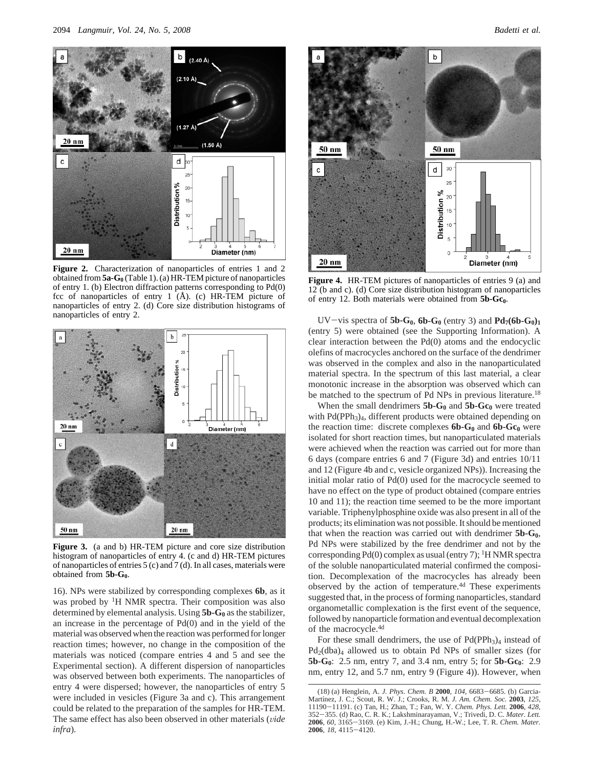

**Figure 2.** Characterization of nanoparticles of entries 1 and 2 obtained from**5a-G0** (Table 1). (a) HR-TEM picture of nanoparticles of entry 1. (b) Electron diffraction patterns corresponding to Pd(0) fcc of nanoparticles of entry 1 (Å). (c) HR-TEM picture of nanoparticles of entry 2. (d) Core size distribution histograms of nanoparticles of entry 2.



**Figure 3.** (a and b) HR-TEM picture and core size distribution histogram of nanoparticles of entry 4. (c and d) HR-TEM pictures of nanoparticles of entries 5 (c) and 7 (d). In all cases, materials were obtained from 5b-G<sub>0</sub>.

16). NPs were stabilized by corresponding complexes **6b**, as it was probed by <sup>1</sup>H NMR spectra. Their composition was also determined by elemental analysis. Using 5b-G<sub>0</sub> as the stabilizer, an increase in the percentage of Pd(0) and in the yield of the material was observed when the reaction was performed for longer reaction times; however, no change in the composition of the materials was noticed (compare entries 4 and 5 and see the Experimental section). A different dispersion of nanoparticles was observed between both experiments. The nanoparticles of entry 4 were dispersed; however, the nanoparticles of entry 5 were included in vesicles (Figure 3a and c). This arrangement could be related to the preparation of the samples for HR-TEM. The same effect has also been observed in other materials (vide *infra*).



**Figure 4.** HR-TEM pictures of nanoparticles of entries 9 (a) and 12 (b and c). (d) Core size distribution histogram of nanoparticles of entry 12. Both materials were obtained from 5b-Gc<sub>0</sub>.

UV-vis spectra of  $5b-G_0$ ,  $6b-G_0$  (entry 3) and  $Pd_7(6b-G_0)_1$ (entry 5) were obtained (see the Supporting Information). A clear interaction between the Pd(0) atoms and the endocyclic olefins of macrocycles anchored on the surface of the dendrimer was observed in the complex and also in the nanoparticulated material spectra. In the spectrum of this last material, a clear monotonic increase in the absorption was observed which can be matched to the spectrum of Pd NPs in previous literature.<sup>18</sup>

When the small dendrimers **5b-G<sub>0</sub>** and **5b-Gc**<sub>0</sub> were treated with Pd(PPh<sub>3</sub>)<sub>4</sub>, different products were obtained depending on the reaction time: discrete complexes  $6b-G_0$  and  $6b-Gc_0$  were isolated for short reaction times, but nanoparticulated materials were achieved when the reaction was carried out for more than 6 days (compare entries 6 and 7 (Figure 3d) and entries 10/11 and 12 (Figure 4b and c, vesicle organized NPs)). Increasing the initial molar ratio of Pd(0) used for the macrocycle seemed to have no effect on the type of product obtained (compare entries 10 and 11); the reaction time seemed to be the more important variable. Triphenylphosphine oxide was also present in all of the products; its elimination was not possible. It should be mentioned that when the reaction was carried out with dendrimer  $5b-G_0$ , Pd NPs were stabilized by the free dendrimer and not by the corresponding  $Pd(0)$  complex as usual (entry 7); <sup>1</sup>H NMR spectra of the soluble nanoparticulated material confirmed the composition. Decomplexation of the macrocycles has already been observed by the action of temperature.<sup>4d</sup> These experiments suggested that, in the process of forming nanoparticles, standard organometallic complexation is the first event of the sequence, followed by nanoparticle formation and eventual decomplexation of the macrocycle.4d

For these small dendrimers, the use of  $Pd(PPh<sub>3</sub>)<sub>4</sub>$  instead of Pd2(dba)4 allowed us to obtain Pd NPs of smaller sizes (for **5b-G<sub>0</sub>**: 2.5 nm, entry 7, and 3.4 nm, entry 5; for **5b-Gc**<sub>0</sub>: 2.9 nm, entry 12, and 5.7 nm, entry 9 (Figure 4)). However, when

<sup>(18) (</sup>a) Henglein, A. *J. Phys. Chem. B* **<sup>2000</sup>**, *<sup>104</sup>*, 6683-6685. (b) Garcia-Martı´nez, J. C.; Scout, R. W. J.; Crooks, R. M. *J. Am. Chem. Soc.* **2003**, *125*, <sup>11190</sup>-11191. (c) Tan, H.; Zhan, T.; Fan, W. Y. *Chem. Phys. Lett.* **<sup>2006</sup>**, *<sup>428</sup>*, <sup>352</sup>-355. (d) Rao, C. R. K.; Lakshminarayaman, V.; Trivedi, D. C. *Mater. Lett.* **<sup>2006</sup>**, *<sup>60</sup>*, 3165-3169. (e) Kim, J.-H.; Chung, H.-W.; Lee, T. R. *Chem. Mater.* **<sup>2006</sup>**, *<sup>18</sup>*, 4115-4120.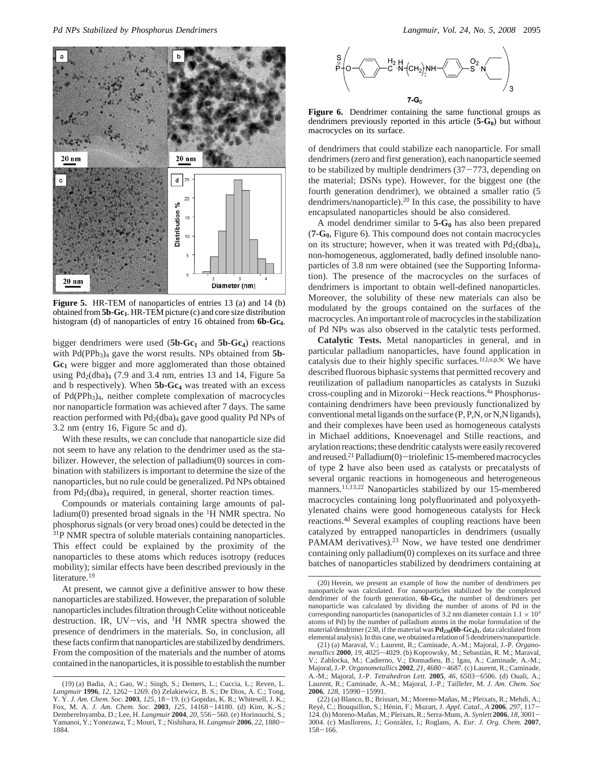

**Figure 5.** HR-TEM of nanoparticles of entries 13 (a) and 14 (b) obtained from **5b-Gc1**. HR-TEM picture (c) and core size distribution histogram (d) of nanoparticles of entry 16 obtained from **6b-Gc4**.

bigger dendrimers were used  $(5b-Gc_1)$  and  $5b-Gc_4)$  reactions with Pd(PPh<sub>3</sub>)<sub>4</sub> gave the worst results. NPs obtained from 5b-**Gc1** were bigger and more agglomerated than those obtained using  $Pd_2(dba)_4$  (7.9 and 3.4 nm, entries 13 and 14, Figure 5a and b respectively). When **5b-Gc<sub>4</sub>** was treated with an excess of Pd(PPh3)4, neither complete complexation of macrocycles nor nanoparticle formation was achieved after 7 days. The same reaction performed with  $Pd_2(dba)_4$  gave good quality Pd NPs of 3.2 nm (entry 16, Figure 5c and d).

With these results, we can conclude that nanoparticle size did not seem to have any relation to the dendrimer used as the stabilizer. However, the selection of palladium(0) sources in combination with stabilizers is important to determine the size of the nanoparticles, but no rule could be generalized. Pd NPs obtained from  $Pd_2(dba)_4$  required, in general, shorter reaction times.

Compounds or materials containing large amounts of palladium(0) presented broad signals in the  ${}^{1}H$  NMR spectra. No phosphorus signals (or very broad ones) could be detected in the <sup>31</sup>P NMR spectra of soluble materials containing nanoparticles. This effect could be explained by the proximity of the nanoparticles to these atoms which reduces isotropy (reduces mobility); similar effects have been described previously in the literature.<sup>19</sup>

At present, we cannot give a definitive answer to how these nanoparticles are stabilized. However, the preparation of soluble nanoparticles includes filtration through Celite without noticeable destruction. IR, UV-vis, and  $H$  NMR spectra showed the presence of dendrimers in the materials. So, in conclusion, all these facts confirm that nanoparticles are stabilized by dendrimers. From the composition of the materials and the number of atoms contained in the nanoparticles, it is possible to establish the number



Figure 6. Dendrimer containing the same functional groups as dendrimers previously reported in this article (5-G<sub>0</sub>) but without macrocycles on its surface.

of dendrimers that could stabilize each nanoparticle. For small dendrimers (zero and first generation), each nanoparticle seemed to be stabilized by multiple dendrimers  $(37-773)$ , depending on the material; DSNs type). However, for the biggest one (the fourth generation dendrimer), we obtained a smaller ratio (5 dendrimers/nanoparticle).20 In this case, the possibility to have encapsulated nanoparticles should be also considered.

A model dendrimer similar to **5-G0** has also been prepared (**7-G0**, Figure 6). This compound does not contain macrocycles on its structure; however, when it was treated with  $Pd_2(dba)<sub>4</sub>$ , non-homogeneous, agglomerated, badly defined insoluble nanoparticles of 3.8 nm were obtained (see the Supporting Information). The presence of the macrocycles on the surfaces of dendrimers is important to obtain well-defined nanoparticles. Moreover, the solubility of these new materials can also be modulated by the groups contained on the surfaces of the macrocycles. An important role of macrocycles in the stabilization of Pd NPs was also observed in the catalytic tests performed.

**Catalytic Tests.** Metal nanoparticles in general, and in particular palladium nanoparticles, have found application in catalysis due to their highly specific surfaces.<sup>1f,l,o,p,9c</sup> We have described fluorous biphasic systems that permitted recovery and reutilization of palladium nanoparticles as catalysts in Suzuki cross-coupling and in Mizoroki-Heck reactions.<sup>4a</sup> Phosphoruscontaining dendrimers have been previously functionalized by conventional metal ligands on the surface (P, P,N, or N,N ligands), and their complexes have been used as homogeneous catalysts in Michael additions, Knoevenagel and Stille reactions, and arylation reactions; these dendritic catalysts were easily recovered and reused.<sup>21</sup> Palladium(0)-triolefinic 15-membered macrocycles of type **2** have also been used as catalysts or precatalysts of several organic reactions in homogeneous and heterogeneous manners.<sup>11,13,22</sup> Nanoparticles stabilized by our 15-membered macrocycles containing long polyfluorinated and polyoxyethylenated chains were good homogeneous catalysts for Heck reactions.4d Several examples of coupling reactions have been catalyzed by entrapped nanoparticles in dendrimers (usually PAMAM derivatives).<sup>23</sup> Now, we have tested one dendrimer containing only palladium(0) complexes on its surface and three batches of nanoparticles stabilized by dendrimers containing at

<sup>(19) (</sup>a) Badia, A.; Gao, W.; Singh, S.; Demers, L.; Cuccia, L.; Reven, L.<br>*Langmuir* **1996**, 12, 1262–1269. (b) Zelakiewicz, B. S.; De Dios, A. C.; Tong, *Langmuir* **<sup>1996</sup>**, *<sup>12</sup>*, 1262-1269. (b) Zelakiewicz, B. S.; De Dios, A. C.; Tong, Y. Y. *J. Am. Chem. Soc.* **<sup>2003</sup>**, *<sup>125</sup>*, 18-19. (c) Gopidas, K. R.; Whitesell, J. K.; Fox, M. A. *J. Am. Chem. Soc.* **<sup>2003</sup>**, *<sup>125</sup>*, 14168-14180. (d) Kim, K.-S.; Demberelnyamba, D.; Lee, H. *Langmuir* **<sup>2004</sup>**, *<sup>20</sup>*, 556-560. (e) Horinouchi, S.; Yamanoi, Y.; Yonezawa, T.; Mouri, T.; Nishihara, H. *Langmuir* **<sup>2006</sup>**, *<sup>22</sup>*, 1880- 1884.

<sup>(20)</sup> Herein, we present an example of how the number of dendrimers per nanoparticle was calculated. For nanoparticles stabilized by the complexed dendrimer of the fourth generation, **6b-Gc4**, the number of dendrimers per nanoparticle was calculated by dividing the number of atoms of Pd in the corresponding nanoparticles (nanoparticles of 3.2 nm diameter contain  $1.1 \times 10^3$ atoms of Pd) by the number of palladium atoms in the molar formulation of the material/dendrimer (238, if the material was  $Pd_{238}(6b-Gc_4)_1$ , data calculated from elemental analysis). In this case, we obtained a relation of 5 dendrimers/nanoparticle.

<sup>(21) (</sup>a) Maraval, V.; Laurent, R.; Caminade, A.-M.; Majoral, J.-P. *Organometallics* **<sup>2000</sup>**, *<sup>19</sup>*, 4025-4029. (b) Koprowsky, M.; Sebastia´n, R. M.; Maraval, V.; Zablocka, M.; Cadierno, V.; Donnadieu, B.; Igau, A.; Caminade, A.-M.; Majoral, J.-P. Organometallics 2002, 21, 4680-4687. (c) Laurent, R.; Caminade, Majoral, J.-P. Organometallics 2002, 21, 4680–4687. (c) Laurent, R.; Caminade, A.-M.; Majoral, J.-P. *Tetrahedron Lett.* 2005, 46, 6503–6506. (d) Ouali, A.; Laurent, R.; Caminade, A.-M.; Majoral, J.-P. Taillefer, M. J. Am. **<sup>2006</sup>**, *<sup>128</sup>*, 15990-15991.

<sup>(22) (</sup>a) Blanco, B.; Brissart, M.; Moreno-Mañas, M.; Pleixats, R.; Mehdi, A.; Revé, C.; Bouquillon, S.; Hénin, F.; Muzart, J. Appl. Catal., A 2006, 297, 117-124. (b) Moreno-Mañas, M.; Pleixats, R.; Serra-Muns, A. *Synlett* **2006**, *18*, 3001-124. (b) Moreno-Mañas, M.; Pleixats, R.; Serra-Muns, A. *Synlett* **2006**, *18*, 3001 – 3004. (c) Masllorens, J.; Gonzàlez, I.; Roglans, A. *Eur. J. Org. Chem.* **2007**,  $158 - 166$ .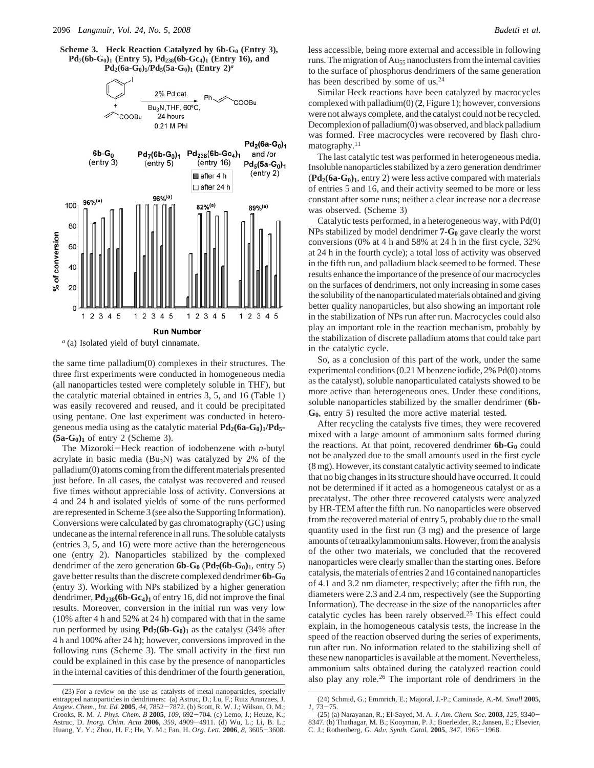**Scheme 3. Heck Reaction Catalyzed by 6b-G<sub>0</sub> (Entry 3),**  $Pd_7(6b-G_0)$ <sup>1</sup> **(Entry 5)**,  $Pd_{238}(6b-Gc_4)$ <sup>1</sup> **(Entry 16)**, and  $Pd_2(6a-G_0)_1/Pd_5(5a-G_0)_1$  (Entry  $2)^a$ 



the same time palladium(0) complexes in their structures. The three first experiments were conducted in homogeneous media (all nanoparticles tested were completely soluble in THF), but the catalytic material obtained in entries 3, 5, and 16 (Table 1) was easily recovered and reused, and it could be precipitated using pentane. One last experiment was conducted in heterogeneous media using as the catalytic material **Pd<sub>2</sub>(6a-G<sub>0</sub>)**<sub>1</sub>/**Pd**<sub>5</sub>- $(5a-G<sub>0</sub>)<sub>1</sub>$  of entry 2 (Scheme 3).

The Mizoroki-Heck reaction of iodobenzene with *<sup>n</sup>*-butyl acrylate in basic media (Bu3N) was catalyzed by 2% of the palladium(0) atoms coming from the different materials presented just before. In all cases, the catalyst was recovered and reused five times without appreciable loss of activity. Conversions at 4 and 24 h and isolated yields of some of the runs performed are represented in Scheme 3 (see also the Supporting Information). Conversions were calculated by gas chromatography (GC) using undecane as the internal reference in all runs. The soluble catalysts (entries 3, 5, and 16) were more active than the heterogeneous one (entry 2). Nanoparticles stabilized by the complexed dendrimer of the zero generation  $6b-G_0$   $(Pd_7(6b-G_0)_1$ , entry 5) gave better results than the discrete complexed dendrimer **6b-G0** (entry 3). Working with NPs stabilized by a higher generation dendrimer,  $Pd_{238}(6b-Gc_4)_1$  of entry 16, did not improve the final results. Moreover, conversion in the initial run was very low (10% after 4 h and 52% at 24 h) compared with that in the same run performed by using  $Pd_7(6b-G_0)_1$  as the catalyst (34% after 4 h and 100% after 24 h); however, conversions improved in the following runs (Scheme 3). The small activity in the first run could be explained in this case by the presence of nanoparticles in the internal cavities of this dendrimer of the fourth generation, less accessible, being more external and accessible in following runs. The migration of Au<sub>55</sub> nanoclusters from the internal cavities to the surface of phosphorus dendrimers of the same generation has been described by some of us.<sup>24</sup>

Similar Heck reactions have been catalyzed by macrocycles complexed with palladium(0) (**2**, Figure 1); however, conversions were not always complete, and the catalyst could not be recycled. Decomplexion of palladium(0) was observed, and black palladium was formed. Free macrocycles were recovered by flash chromatography.<sup>11</sup>

The last catalytic test was performed in heterogeneous media. Insoluble nanoparticles stabilized by a zero generation dendrimer  $(\text{Pd}_2(6a-G_0)_1,$  entry 2) were less active compared with materials of entries 5 and 16, and their activity seemed to be more or less constant after some runs; neither a clear increase nor a decrease was observed. (Scheme 3)

Catalytic tests performed, in a heterogeneous way, with Pd(0) NPs stabilized by model dendrimer **7-G**<sub>0</sub> gave clearly the worst conversions (0% at 4 h and 58% at 24 h in the first cycle, 32% at 24 h in the fourth cycle); a total loss of activity was observed in the fifth run, and palladium black seemed to be formed. These results enhance the importance of the presence of our macrocycles on the surfaces of dendrimers, not only increasing in some cases the solubility of the nanoparticulated materials obtained and giving better quality nanoparticles, but also showing an important role in the stabilization of NPs run after run. Macrocycles could also play an important role in the reaction mechanism, probably by the stabilization of discrete palladium atoms that could take part in the catalytic cycle.

So, as a conclusion of this part of the work, under the same experimental conditions (0.21 M benzene iodide, 2% Pd(0) atoms as the catalyst), soluble nanoparticulated catalysts showed to be more active than heterogeneous ones. Under these conditions, soluble nanoparticles stabilized by the smaller dendrimer (**6b-G0**, entry 5) resulted the more active material tested.

After recycling the catalysts five times, they were recovered mixed with a large amount of ammonium salts formed during the reactions. At that point, recovered dendrimer  $6b-G_0$  could not be analyzed due to the small amounts used in the first cycle (8 mg). However, its constant catalytic activity seemed to indicate that no big changes in its structure should have occurred. It could not be determined if it acted as a homogeneous catalyst or as a precatalyst. The other three recovered catalysts were analyzed by HR-TEM after the fifth run. No nanoparticles were observed from the recovered material of entry 5, probably due to the small quantity used in the first run (3 mg) and the presence of large amounts of tetraalkylammonium salts. However, from the analysis of the other two materials, we concluded that the recovered nanoparticles were clearly smaller than the starting ones. Before catalysis, the materials of entries 2 and 16 contained nanoparticles of 4.1 and 3.2 nm diameter, respectively; after the fifth run, the diameters were 2.3 and 2.4 nm, respectively (see the Supporting Information). The decrease in the size of the nanoparticles after catalytic cycles has been rarely observed.25 This effect could explain, in the homogeneous catalysis tests, the increase in the speed of the reaction observed during the series of experiments, run after run. No information related to the stabilizing shell of these new nanoparticles is available at the moment. Nevertheless, ammonium salts obtained during the catalyzed reaction could also play any role.26 The important role of dendrimers in the

<sup>(23)</sup> For a review on the use as catalysts of metal nanoparticles, specially entrapped nanoparticles in dendrimers: (a) Astruc, D.; Lu, F.; Ruiz Aranzaes, J. Angew. Chem., Int. Ed. 2005, 44, 7852–7872. (b) Scott, R. W. J.; Wilson, O. M.; *Angew. Chem., Int. Ed.* **<sup>2005</sup>**, *<sup>44</sup>*, 7852-7872. (b) Scott, R. W. J.; Wilson, O. M.; Crooks, R. M. *J. Phys. Chem. B* **<sup>2005</sup>**, *<sup>109</sup>*, 692-704. (c) Lemo, J.; Heuze, K.; Astruc, D. *Inorg. Chim. Acta* **<sup>2006</sup>**, *<sup>359</sup>*, 4909-4911. (d) Wu, L.; Li, B. L.; Huang, Y. Y.; Zhou, H. F.; He, Y. M.; Fan, H. *Org. Lett.* **<sup>2006</sup>**, *<sup>8</sup>*, 3605-3608.

<sup>(24)</sup> Schmid, G.; Emmrich, E.; Majoral, J.-P.; Caminade, A.-M. *Small* **2005**, *<sup>1</sup>*, 73-75.

<sup>(25) (</sup>a) Narayanan, R.; El-Sayed, M. A. *J. Am. Chem. Soc.* **<sup>2003</sup>**, *<sup>125</sup>*, 8340- 8347. (b) Thathagar, M. B.; Kooyman, P. J.; Boerleider, R.; Jansen, E.; Elsevier, C. J.; Rothenberg, G. *Ad*V*. Synth. Catal.* **<sup>2005</sup>**, *<sup>347</sup>*, 1965-1968.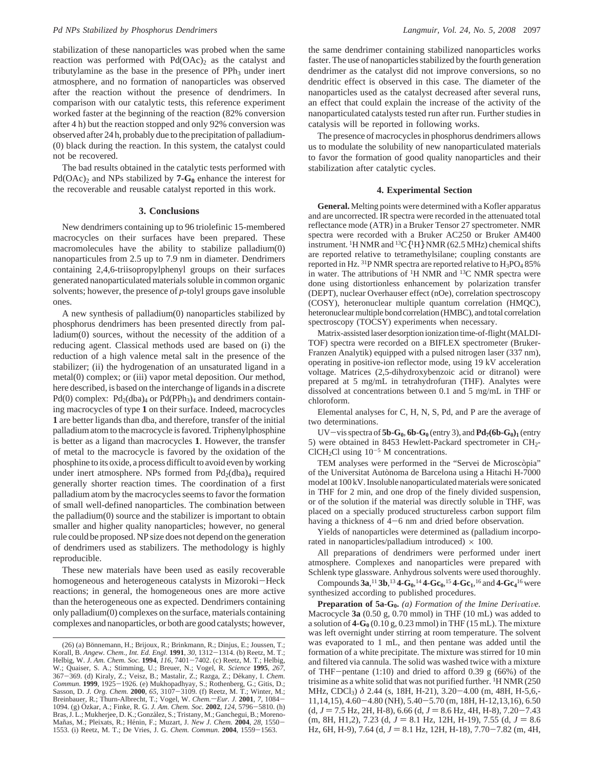stabilization of these nanoparticles was probed when the same reaction was performed with  $Pd(OAc)_2$  as the catalyst and tributylamine as the base in the presence of  $PPh<sub>3</sub>$  under inert atmosphere, and no formation of nanoparticles was observed after the reaction without the presence of dendrimers. In comparison with our catalytic tests, this reference experiment worked faster at the beginning of the reaction (82% conversion after 4 h) but the reaction stopped and only 92% conversion was observed after 24 h, probably due to the precipitation of palladium- (0) black during the reaction. In this system, the catalyst could not be recovered.

The bad results obtained in the catalytic tests performed with  $Pd(OAc)_2$  and NPs stabilized by **7-G<sub>0</sub>** enhance the interest for the recoverable and reusable catalyst reported in this work.

#### **3. Conclusions**

New dendrimers containing up to 96 triolefinic 15-membered macrocycles on their surfaces have been prepared. These macromolecules have the ability to stabilize palladium(0) nanoparticules from 2.5 up to 7.9 nm in diameter. Dendrimers containing 2,4,6-triisopropylphenyl groups on their surfaces generated nanoparticulated materials soluble in common organic solvents; however, the presence of *p*-tolyl groups gave insoluble ones.

A new synthesis of palladium(0) nanoparticles stabilized by phosphorus dendrimers has been presented directly from palladium(0) sources, without the necessity of the addition of a reducing agent. Classical methods used are based on (i) the reduction of a high valence metal salt in the presence of the stabilizer; (ii) the hydrogenation of an unsaturated ligand in a metal(0) complex; or (iii) vapor metal deposition. Our method, here described, is based on the interchange of ligands in a discrete Pd(0) complex:  $Pd_2(dba)_4$  or  $Pd(PPh_3)_4$  and dendrimers containing macrocycles of type **1** on their surface. Indeed, macrocycles **1** are better ligands than dba, and therefore, transfer of the initial palladium atom to the macrocycle is favored. Triphenylphosphine is better as a ligand than macrocycles **1**. However, the transfer of metal to the macrocycle is favored by the oxidation of the phosphine to its oxide, a process difficult to avoid even by working under inert atmosphere. NPs formed from  $Pd_2(dba)_4$  required generally shorter reaction times. The coordination of a first palladium atom by the macrocycles seems to favor the formation of small well-defined nanoparticles. The combination between the palladium(0) source and the stabilizer is important to obtain smaller and higher quality nanoparticles; however, no general rule could be proposed. NP size does not depend on the generation of dendrimers used as stabilizers. The methodology is highly reproducible.

These new materials have been used as easily recoverable homogeneous and heterogeneous catalysts in Mizoroki-Heck reactions; in general, the homogeneous ones are more active than the heterogeneous one as expected. Dendrimers containing only palladium(0) complexes on the surface, materials containing complexes and nanoparticles, or both are good catalysts; however,

the same dendrimer containing stabilized nanoparticles works faster. The use of nanoparticles stabilized by the fourth generation dendrimer as the catalyst did not improve conversions, so no dendritic effect is observed in this case. The diameter of the nanoparticles used as the catalyst decreased after several runs, an effect that could explain the increase of the activity of the nanoparticulated catalysts tested run after run. Further studies in catalysis will be reported in following works.

The presence of macrocycles in phosphorus dendrimers allows us to modulate the solubility of new nanoparticulated materials to favor the formation of good quality nanoparticles and their stabilization after catalytic cycles.

## **4. Experimental Section**

**General.** Melting points were determined with a Kofler apparatus and are uncorrected. IR spectra were recorded in the attenuated total reflectance mode (ATR) in a Bruker Tensor 27 spectrometer. NMR spectra were recorded with a Bruker AC250 or Bruker AM400 instrument. 1H NMR and 13C{1H} NMR (62.5 MHz) chemical shifts are reported relative to tetramethylsilane; coupling constants are reported in Hz. <sup>31</sup>P NMR spectra are reported relative to  $H_3PO_4$  85% in water. The attributions of <sup>1</sup>H NMR and <sup>13</sup>C NMR spectra were done using distortionless enhancement by polarization transfer (DEPT), nuclear Overhauser effect (nOe), correlation spectroscopy (COSY), heteronuclear multiple quantum correlation (HMQC), heteronuclear multiple bond correlation (HMBC), and total correlation spectroscopy (TOCSY) experiments when necessary.

Matrix-assisted laser desorption ionization time-of-flight (MALDI-TOF) spectra were recorded on a BIFLEX spectrometer (Bruker-Franzen Analytik) equipped with a pulsed nitrogen laser (337 nm), operating in positive-ion reflector mode, using 19 kV acceleration voltage. Matrices (2,5-dihydroxybenzoic acid or ditranol) were prepared at 5 mg/mL in tetrahydrofuran (THF). Analytes were dissolved at concentrations between 0.1 and 5 mg/mL in THF or chloroform.

Elemental analyses for C, H, N, S, Pd, and P are the average of two determinations.

UV-vis spectra of  $5b-G_0$ ,  $6b-G_0$  (entry 3), and  $Pd_7(6b-G_0)_1$  (entry 5) were obtained in 8453 Hewlett-Packard spectrometer in  $CH<sub>2</sub>$ -ClCH<sub>2</sub>Cl using  $10^{-5}$  M concentrations.

TEM analyses were performed in the "Servei de Microscòpia" of the Universitat Autònoma de Barcelona using a Hitachi H-7000 model at 100 kV. Insoluble nanoparticulated materials were sonicated in THF for 2 min, and one drop of the finely divided suspension, or of the solution if the material was directly soluble in THF, was placed on a specially produced structureless carbon support film having a thickness of 4-6 nm and dried before observation.

Yields of nanoparticles were determined as (palladium incorporated in nanoparticles/palladium introduced)  $\times$  100.

All preparations of dendrimers were performed under inert atmosphere. Complexes and nanoparticles were prepared with Schlenk type glassware. Anhydrous solvents were used thoroughly. Compounds  $3a,^{11}3b,^{13}4-G_0,^{14}4-Gc_0,^{15}4-Gc_1,^{16}$  and  $4-Gc_4$ <sup>16</sup> were synthesized according to published procedures.

**Preparation of 5a-G<sub>0</sub>.** *(a) Formation of the Imine Derivative.* Macrocycle **3a** (0.50 g, 0.70 mmol) in THF (10 mL) was added to a solution of  $4-G_0(0.10 \text{ g}, 0.23 \text{ mmol})$  in THF (15 mL). The mixture was left overnight under stirring at room temperature. The solvent was evaporated to 1 mL, and then pentane was added until the formation of a white precipitate. The mixture was stirred for 10 min and filtered via cannula. The solid was washed twice with a mixture of THF-pentane (1:10) and dried to afford 0.39 g (66%) of the trisimine as a white solid that was not purified further. <sup>1</sup>H NMR (250) MHz, CDCl<sub>3</sub>) δ 2.44 (s, 18H, H-21), 3.20–4.00 (m, 48H, H-5,6,-11,14,15), 4.60-4.80 (NH), 5.40-5.70 (m, 18H, H-12,13,16), 6.50  $(d, J = 7.5 \text{ Hz}, 2H, H-8)$ , 6.66  $(d, J = 8.6 \text{ Hz}, 4H, H-8)$ , 7.20-7.43  $(m, 8H, H1, 2), 7.23$  (d,  $J = 8.1$  Hz, 12H, H-19), 7.55 (d,  $J = 8.6$ Hz, 6H, H-9), 7.64 (d,  $J = 8.1$  Hz, 12H, H-18), 7.70-7.82 (m, 4H,

<sup>(26) (</sup>a) Bönnemann, H.; Brijoux, R.; Brinkmann, R.; Dinjus, E.; Joussen, T.; Korall, B. Angew. Chem., Int. Ed. Engl.  $1991$ , 30,  $1312-1314$ . (b) Reetz, M. T.; Korall, B. Angew. Chem., Int. Ed. Engl. 1991, 30, 1312–1314. (b) Reetz, M. T.; Helbig, W. J. Am. Chem. Soc. 1994, 116, 7401–7402. (c) Reetz, M. T.; Helbig, W.; Quaiser, S. A.; Stimming, U.; Breuer, N.; Vogel, R. Science 19 367-369. (d) Kiraly, Z.; Veisz, B.; Mastalir, Z.; Razga, Z.; Dékany, I. *Chem.*<br>Commun. **1999**, 1925-1926. (e) Mukhopadhyay, S.; Rothenberg, G.; Gitis, D.; *Commun.* **1999**, 1925–1926. (e) Mukhopadhyay, S.; Rothenberg, G.; Gitis, D.; Sasson, D. *J. Org. Chem.* **2000**, 65, 3107–3109. (f) Reetz, M. T.; Winter, M.; Ninter, M.; Then bareight R.; Thurn-Albrecht, T.; Vogel, W. *Che* 1094. (g) Özkar, A.; Finke, R. G. *J. Am. Chem. Soc.* **2002**, *124*, 5796–5810. (h)<br>Bras, J. L.; Mukherjee, D. K.; González, S.; Tristany, M.; Ganchegui, B.; Moreno-Mañas, M.; Pleixats, R.; Hénin, F.; Muzart, J. *New J. Chem.* **2004**, 28, 1550–1553.<br>1553. (i) Reetz, M. T.; De Vries, J. G. *Chem. Commun.* **2004**, 1559–1563.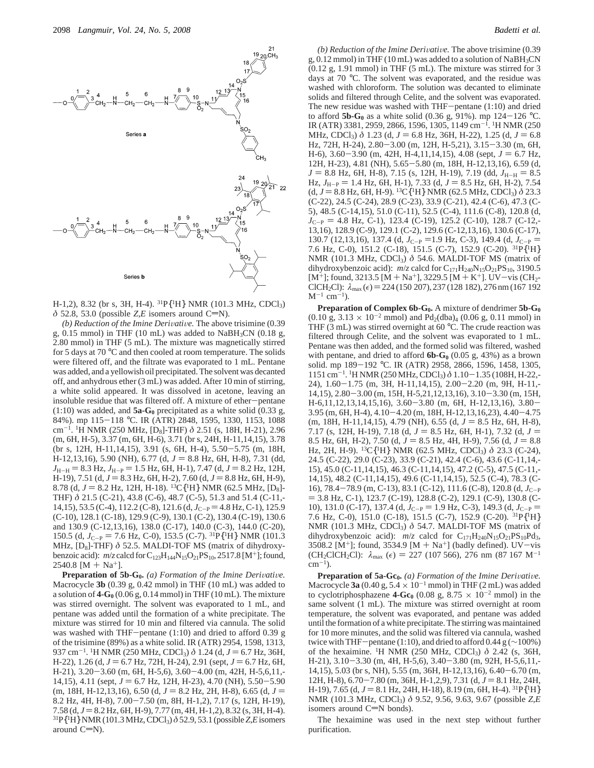

H-1,2), 8.32 (br s, 3H, H-4). 31P{1H} NMR (101.3 MHz, CDCl3)  $\delta$  52.8, 53.0 (possible *Z*,*E* isomers around C=N).

*(b) Reduction of the Imine Derivative. The above trisimine (0.39* g,  $0.15$  mmol) in THF (10 mL) was added to NaBH<sub>3</sub>CN (0.18 g, 2.80 mmol) in THF (5 mL). The mixture was magnetically stirred for 5 days at 70 °C and then cooled at room temperature. The solids were filtered off, and the filtrate was evaporated to 1 mL. Pentane was added, and a yellowish oil precipitated. The solvent was decanted off, and anhydrous ether (3 mL) was added. After 10 min of stirring, a white solid appeared. It was dissolved in acetone, leaving an insoluble residue that was filtered off. A mixture of ether-pentane  $(1:10)$  was added, and  $5a-G_0$  precipitated as a white solid  $(0.33 g,$ 84%). mp 115-<sup>118</sup> °C. IR (ATR) 2848, 1595, 1330, 1153, 1088 cm-1. 1H NMR (250 MHz, [D8]-THF) *δ* 2.51 (s, 18H, H-21), 2.96 (m, 6H, H-5), 3.37 (m, 6H, H-6), 3.71 (br s, 24H, H-11,14,15), 3.78 (br s, 12H, H-11,14,15), 3.91 (s, 6H, H-4), 5.50-5.75 (m, 18H, H-12,13,16), 5.90 (NH), 6.77 (d,  $J = 8.8$  Hz, 6H, H-8), 7.31 (dd,  $J_{\text{H-H}} = 8.3 \text{ Hz}, J_{\text{H-P}} = 1.5 \text{ Hz}, 6\text{H}, \text{H-1}, 7.47 \text{ (d, } J = 8.2 \text{ Hz}, 12\text{H},$ H-19), 7.51 (d,  $J = 8.3$  Hz, 6H, H-2), 7.60 (d,  $J = 8.8$  Hz, 6H, H-9), 8.78 (d, *J* = 8.2 Hz, 12H, H-18). <sup>13</sup>C{<sup>1</sup>H} NMR (62.5 MHz, [D<sub>8</sub>]-THF) *δ* 21.5 (C-21), 43.8 (C-6), 48.7 (C-5), 51.3 and 51.4 (C-11,- 14,15), 53.5 (C-4), 112.2 (C-8), 121.6 (d, *J*<sub>C-P</sub> = 4.8 Hz, C-1), 125.9 (C-10), 128.1 (C-18), 129.9 (C-9), 130.1 (C-2), 130.4 (C-19), 130.6 and 130.9 (C-12,13,16), 138.0 (C-17), 140.0 (C-3), 144.0 (C-20), 150.5 (d,  $J_{\text{C-P}}$  = 7.6 Hz, C-0), 153.5 (C-7). <sup>31</sup>P{<sup>1</sup>H} NMR (101.3 MHz, [D8]-THF) *δ* 52.5. MALDI-TOF MS (matrix of dihydroxybenzoic acid):  $m/z$  calcd for  $C_{123}H_{144}N_{15}O_{21}PS_{10}$ , 2517.8 [M<sup>+</sup>]; found,  $2540.8$  [M + Na<sup>+</sup>].

**Preparation of 5b-G<sub>0</sub>.** *(a) Formation of the Imine Derivative.* Macrocycle **3b** (0.39 g, 0.42 mmol) in THF (10 mL) was added to a solution of  $4-G_0(0.06 \text{ g}, 0.14 \text{ mmol})$  in THF (10 mL). The mixture was stirred overnight. The solvent was evaporated to 1 mL, and pentane was added until the formation of a white precipitate. The mixture was stirred for 10 min and filtered via cannula. The solid was washed with THF-pentane (1:10) and dried to afford 0.39 g of the trisimine (89%) as a white solid. IR (ATR) 2954, 1598, 1313, 937 cm<sup>-1</sup>. <sup>1</sup>H NMR (250 MHz, CDCl<sub>3</sub>)  $\delta$  1.24 (d,  $J = 6.7$  Hz, 36H, H-22), 1.26 (d,  $J = 6.7$  Hz, 72H, H-24), 2.91 (sept,  $J = 6.7$  Hz, 6H, H-21), 3.20-3.60 (m, 6H, H-5,6), 3.60-4.00 (m, 42H, H-5,6,11,- 14,15), 4.11 (sept,  $J = 6.7$  Hz, 12H, H-23), 4.70 (NH), 5.50-5.90  $(m, 18H, H-12, 13, 16)$ , 6.50 (d,  $J = 8.2$  Hz, 2H, H-8), 6.65 (d,  $J =$ 8.2 Hz, 4H, H-8), 7.00-7.50 (m, 8H, H-1,2), 7.17 (s, 12H, H-19), 7.58 (d, *<sup>J</sup>* ) 8.2 Hz, 6H, H-9), 7.77 (m, 4H, H-1,2), 8.32 (s, 3H, H-4). 31P{1H}NMR (101.3 MHz, CDCl3) *<sup>δ</sup>* 52.9, 53.1 (possible *<sup>Z</sup>*,*E*isomers around  $C=N$ ).

*(b) Reduction of the Imine Derivative.* The above trisimine (0.39 g, 0.12 mmol) in THF (10 mL) was added to a solution of NaBH<sub>3</sub>CN (0.12 g, 1.91 mmol) in THF (5 mL). The mixture was stirred for 3 days at 70 °C. The solvent was evaporated, and the residue was washed with chloroform. The solution was decanted to eliminate solids and filtered through Celite, and the solvent was evaporated. The new residue was washed with THF-pentane (1:10) and dried to afford  $5b-G_0$  as a white solid (0.36 g, 91%). mp 124-126 °C. IR (ATR) 3381, 2959, 2866, 1596, 1305, 1149 cm<sup>-1</sup>. <sup>1</sup>H NMR (250 MHz, CDCl<sub>3</sub>)  $\delta$  1.23 (d,  $J = 6.8$  Hz, 36H, H-22), 1.25 (d,  $J = 6.8$ Hz, 72H, H-24), 2.80-3.00 (m, 12H, H-5,21), 3.15-3.30 (m, 6H, H-6),  $3.60 - 3.90$  (m,  $42H$ , H-4,11,14,15),  $4.08$  (sept,  $J = 6.7$  Hz, 12H, H-23), 4.81 (NH), 5.65-5.80 (m, 18H, H-12,13,16), 6.59 (d,  $J = 8.8$  Hz, 6H, H-8), 7.15 (s, 12H, H-19), 7.19 (dd,  $J_{\text{H-H}} = 8.5$ Hz,  $J_{\text{H-P}} = 1.4$  Hz, 6H, H-1), 7.33 (d,  $J = 8.5$  Hz, 6H, H-2), 7.54  $(d, J = 8.8 \text{ Hz}, 6\text{H}, \text{H-9}).$  <sup>13</sup>C{<sup>1</sup>H} NMR (62.5 MHz, CDCl<sub>3</sub>)  $\delta$  23.3 (C-22), 24.5 (C-24), 28.9 (C-23), 33.9 (C-21), 42.4 (C-6), 47.3 (C-5), 48.5 (C-14,15), 51.0 (C-11), 52.5 (C-4), 111.6 (C-8), 120.8 (d,  $J_{C-P} = 4.8$  Hz, C-1), 123.4 (C-19), 125.2 (C-10), 128.7 (C-12,-13,16), 128.9 (C-9), 129.1 (C-2), 129.6 (C-12,13,16), 130.6 (C-17), 130.7 (12,13,16), 137.4 (d,  $J_{C-P} = 1.9$  Hz, C-3), 149.4 (d,  $J_{C-P} =$ 7.6 Hz, C-0), 151.2 (C-18), 151.5 (C-7), 152.9 (C-20). 31P{1H} NMR (101.3 MHz, CDCl<sub>3</sub>)  $\delta$  54.6. MALDI-TOF MS (matrix of dihydroxybenzoic acid):  $m/z$  calcd for C<sub>171</sub>H<sub>240</sub>N<sub>15</sub>O<sub>21</sub>PS<sub>10</sub>, 3190.5 [M<sup>+</sup>]; found, 3213.5 [M + Na<sup>+</sup>], 3229.5 [M + K<sup>+</sup>]. UV-vis (CH<sub>2</sub>-ClCH<sub>2</sub>Cl):  $\lambda_{\text{max}} (\epsilon) = 224 (150 207), 237 (128 182), 276$  nm (167 192  $M^{-1}$  cm<sup>-1</sup>).

**Preparation of Complex 6b-G<sub>0</sub>.** A mixture of dendrimer 5b-G<sub>0</sub>  $(0.10 \text{ g}, 3.13 \times 10^{-2} \text{ mmol})$  and Pd<sub>2</sub>(dba)<sub>4</sub> (0.06 g, 0.11 mmol) in THF (3 mL) was stirred overnight at 60 °C. The crude reaction was filtered through Celite, and the solvent was evaporated to 1 mL. Pentane was then added, and the formed solid was filtered, washed with pentane, and dried to afford  $6b-G_0$  (0.05 g, 43%) as a brown solid. mp 189-<sup>192</sup> °C. IR (ATR) 2958, 2866, 1596, 1458, 1305, 1151 cm-1. 1H NMR (250 MHz, CDCl3) *<sup>δ</sup>* 1.10-1.35 (108H, H-22,- 24), 1.60-1.75 (m, 3H, H-11,14,15), 2.00-2.20 (m, 9H, H-11,- 14,15), 2.80-3.00 (m, 15H, H-5,21,12,13,16), 3.10-3.30 (m, 15H, H-6,11,12,13,14,15,16), 3.60-3.80 (m, 6H, H-12,13,16), 3.80- 3.95 (m, 6H, H-4), 4.10-4.20 (m, 18H, H-12,13,16,23), 4.40-4.75 (m, 18H, H-11, 14, 15), 4.79 (NH), 6.55 (d,  $J = 8.5$  Hz, 6H, H-8), 7.17 (s, 12H, H-19), 7.18 (d,  $J = 8.5$  Hz, 6H, H-1), 7.32 (d,  $J =$ 8.5 Hz, 6H, H-2), 7.50 (d,  $J = 8.5$  Hz, 4H, H-9), 7.56 (d,  $J = 8.8$ Hz, 2H, H-9). 13C{1H} NMR (62.5 MHz, CDCl3) *δ* 23.3 (C-24), 24.5 (C-22), 29.0 (C-23), 33.9 (C-21), 42.4 (C-6), 43.6 (C-11,14,- 15), 45.0 (C-11,14,15), 46.3 (C-11,14,15), 47.2 (C-5), 47.5 (C-11,- 14,15), 48.2 (C-11,14,15), 49.6 (C-11,14,15), 52.5 (C-4), 78.3 (C-16), 78.4-78.9 (m, C-13), 83.1 (C-12), 111.6 (C-8), 120.8 (d,  $J_{C-P}$  $=$  3.8 Hz, C-1), 123.7 (C-19), 128.8 (C-2), 129.1 (C-9), 130.8 (C-10), 131.0 (C-17), 137.4 (d,  $J_{C-P} = 1.9$  Hz, C-3), 149.3 (d,  $J_{C-P} =$ 7.6 Hz, C-0), 151.0 (C-18), 151.5 (C-7), 152.9 (C-20). 31P{1H} NMR (101.3 MHz, CDCl<sub>3</sub>)  $\delta$  54.7. MALDI-TOF MS (matrix of dihydroxybenzoic acid):  $m/z$  calcd for  $C_{171}H_{240}N_{15}O_{21}PS_{10}Pd_3$ , 3508.2 [M<sup>+</sup>]; found, 3534.9 [M + Na<sup>+</sup>] (badly defined). UV-vis (CH<sub>2</sub>ClCH<sub>2</sub>Cl):  $\lambda_{\text{max}}$  ( $\epsilon$ ) = 227 (107 566), 276 nm (87 167 M<sup>-1</sup>  $cm^{-1}$ ).

**Preparation of 5a-Gc<sub>0</sub>.** (a) Formation of the Imine Derivative. Macrocycle  $3a$  (0.40 g,  $5.4 \times 10^{-1}$  mmol) in THF (2 mL) was added to cyclotriphosphazene **4-Gc**<sub>0</sub> (0.08 g,  $8.75 \times 10^{-2}$  mmol) in the same solvent (1 mL). The mixture was stirred overnight at room temperature, the solvent was evaporated, and pentane was added until the formation of a white precipitate. The stirring was maintained for 10 more minutes, and the solid was filtered via cannula, washed twice with THF-pentane (1:10), and dried to afford 0.44 g ( $\sim$ 100%) of the hexaimine. 1H NMR (250 MHz, CDCl3) *δ* 2.42 (s, 36H, H-21), 3.10-3.30 (m, 4H, H-5,6), 3.40-3.80 (m, 92H, H-5,6,11,- 14,15), 5.03 (br s, NH), 5.55 (m, 36H, H-12,13,16), 6.40-6.70 (m, 12H, H-8), 6.70–7.80 (m, 36H, H-1,2,9), 7.31 (d,  $J = 8.1$  Hz, 24H, H-19), 7.65 (d,  $J = 8.1$  Hz, 24H, H-18), 8.19 (m, 6H, H-4). <sup>31</sup>P{<sup>1</sup>H} NMR (101.3 MHz, CDCl3) *δ* 9.52, 9.56, 9.63, 9.67 (possible *Z*,*E* isomers around  $C=N$  bonds).

The hexaimine was used in the next step without further purification.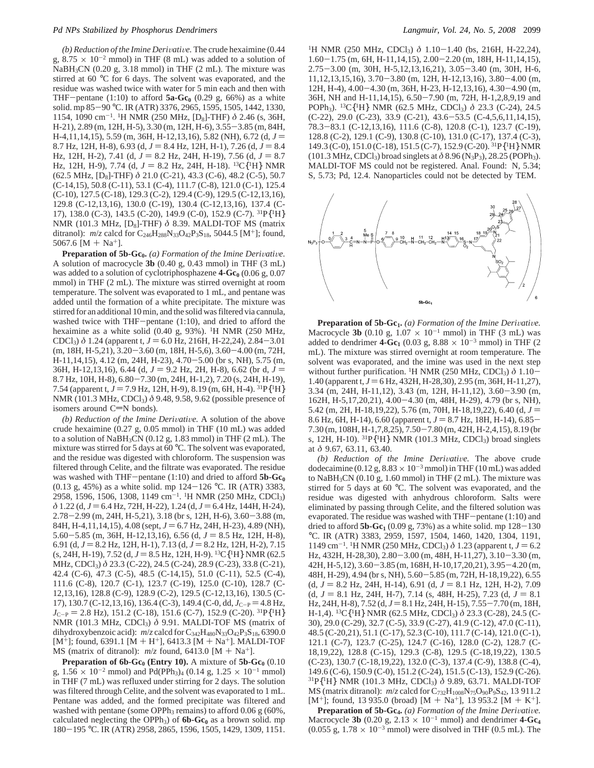*(b) Reduction of the Imine Deri*V*ati*V*e.* The crude hexaimine (0.44 g,  $8.75 \times 10^{-2}$  mmol) in THF (8 mL) was added to a solution of NaBH<sub>3</sub>CN (0.20 g, 3.18 mmol) in THF (2 mL). The mixture was stirred at 60 °C for 6 days. The solvent was evaporated, and the residue was washed twice with water for 5 min each and then with THF-pentane  $(1:10)$  to afford  $5a-Gc_0$   $(0.29 \text{ g}, 66\%)$  as a white solid. mp 85-<sup>90</sup> °C. IR (ATR) 3376, 2965, 1595, 1505, 1442, 1330, 1154, 1090 cm-1. 1H NMR (250 MHz, [D8]-THF) *δ* 2.46 (s, 36H, H-21), 2.89 (m, 12H, H-5), 3.30 (m, 12H, H-6), 3.55-3.85 (m, 84H, H-4,11,14,15), 5.59 (m, 36H, H-12,13,16), 5.82 (NH), 6.72 (d, *<sup>J</sup>* ) 8.7 Hz, 12H, H-8), 6.93 (d,  $J = 8.4$  Hz, 12H, H-1), 7.26 (d,  $J = 8.4$ Hz, 12H, H-2), 7.41 (d,  $J = 8.2$  Hz, 24H, H-19), 7.56 (d,  $J = 8.7$ Hz, 12H, H-9), 7.74 (d,  $J = 8.2$  Hz, 24H, H-18). <sup>13</sup>C{<sup>1</sup>H} NMR (62.5 MHz, [D8]-THF) *δ* 21.0 (C-21), 43.3 (C-6), 48.2 (C-5), 50.7 (C-14,15), 50.8 (C-11), 53.1 (C-4), 111.7 (C-8), 121.0 (C-1), 125.4 (C-10), 127.5 (C-18), 129.3 (C-2), 129.4 (C-9), 129.5 (C-12,13,16), 129.8 (C-12,13,16), 130.0 (C-19), 130.4 (C-12,13,16), 137.4 (C-17), 138.0 (C-3), 143.5 (C-20), 149.9 (C-0), 152.9 (C-7). 31P{1H} NMR (101.3 MHz, [D<sub>8</sub>]-THF)  $\delta$  8.39. MALDI-TOF MS (matrix ditranol):  $m/z$  calcd for  $C_{246}H_{288}N_{33}O_{42}P_3S_{18}$ , 5044.5 [M<sup>+</sup>]; found, 5067.6 [M + Na<sup>+</sup>].

Preparation of 5b-Gc<sub>0</sub>. (a) Formation of the Imine Derivative. A solution of macrocycle **3b** (0.40 g, 0.43 mmol) in THF (3 mL) was added to a solution of cyclotriphosphazene  $4 - Gc_0$  (0.06 g, 0.07) mmol) in THF (2 mL). The mixture was stirred overnight at room temperature. The solvent was evaporated to 1 mL, and pentane was added until the formation of a white precipitate. The mixture was stirred for an additional 10 min, and the solid was filtered via cannula, washed twice with THF-pentane (1:10), and dried to afford the hexaimine as a white solid (0.40 g, 93%). <sup>1</sup>H NMR (250 MHz, CDCl<sub>3</sub>)  $\delta$  1.24 (apparent t,  $J = 6.0$  Hz, 216H, H-22,24), 2.84-3.01 (m, 18H, H-5,21), 3.20-3.60 (m, 18H, H-5,6), 3.60-4.00 (m, 72H, H-11,14,15), 4.12 (m, 24H, H-23), 4.70-5.00 (br s, NH), 5.75 (m, 36H, H-12,13,16), 6.44 (d,  $J = 9.2$  Hz, 2H, H-8), 6.62 (br d,  $J =$ 8.7 Hz, 10H, H-8), 6.80-7.30 (m, 24H, H-1,2), 7.20 (s, 24H, H-19), 7.54 (apparent t,  $J = 7.9$  Hz, 12H, H-9), 8.19 (m, 6H, H-4). <sup>31</sup>P{<sup>1</sup>H} NMR (101.3 MHz, CDCl<sub>3</sub>)  $\delta$  9.48, 9.58, 9.62 (possible presence of isomers around  $C=N$  bonds).

*(b) Reduction of the Imine Derivative.* A solution of the above crude hexaimine (0.27 g, 0.05 mmol) in THF (10 mL) was added to a solution of NaBH3CN (0.12 g, 1.83 mmol) in THF (2 mL). The mixture was stirred for 5 days at 60 °C. The solvent was evaporated, and the residue was digested with chloroform. The suspension was filtered through Celite, and the filtrate was evaporated. The residue was washed with  $THF$ -pentane (1:10) and dried to afford  $5b-Gc_0$  $(0.13 \text{ g}, 45\%)$  as a white solid. mp 124-126 °C. IR (ATR) 3383, 2958, 1596, 1506, 1308, 1149 cm<sup>-1</sup>. <sup>1</sup>H NMR (250 MHz, CDCl<sub>3</sub>) *δ* 1.22 (d, *J* = 6.4 Hz, 72H, H-22), 1.24 (d, *J* = 6.4 Hz, 144H, H-24), 2.78-2.99 (m, 24H, H-5,21), 3.18 (br s, 12H, H-6), 3.60-3.88 (m, 84H, H-4,11,14,15), 4.08 (sept,  $J = 6.7$  Hz, 24H, H-23), 4.89 (NH),  $5.60 - 5.85$  (m, 36H, H-12, 13, 16), 6.56 (d,  $J = 8.5$  Hz, 12H, H-8), 6.91 (d,  $J = 8.2$  Hz, 12H, H-1), 7.13 (d,  $J = 8.2$  Hz, 12H, H-2), 7.15  $(s, 24H, H-19), 7.52$  (d,  $J = 8.5$  Hz, 12H, H-9). <sup>13</sup>C{<sup>1</sup>H} NMR (62.5) MHz, CDCl3) *δ* 23.3 (C-22), 24.5 (C-24), 28.9 (C-23), 33.8 (C-21), 42.4 (C-6), 47.3 (C-5), 48.5 (C-14,15), 51.0 (C-11), 52.5 (C-4), 111.6 (C-8), 120.7 (C-1), 123.7 (C-19), 125.0 (C-10), 128.7 (C-12,13,16), 128.8 (C-9), 128.9 (C-2), 129.5 (C-12,13,16), 130.5 (C-17), 130.7 (C-12, 13, 16), 136.4 (C-3), 149.4 (C-0, dd,  $J_{C-P} = 4.8$  Hz,  $J_{\text{C-P}} = 2.8 \text{ Hz}$ ), 151.2 (C-18), 151.6 (C-7), 152.9 (C-20). <sup>31</sup>P{<sup>1</sup>H} NMR (101.3 MHz, CDCl<sub>3</sub>) δ 9.91. MALDI-TOF MS (matrix of dihydroxybenzoic acid):  $m/z$  calcd for  $C_{342}H_{480}N_{33}O_{42}P_3S_{18}$ , 6390.0 [ $M^+$ ]; found, 6391.1 [ $M + H^+$ ], 6413.3 [ $M + Na^+$ ]. MALDI-TOF MS (matrix of ditranol):  $m/z$  found, 6413.0 [M + Na<sup>+</sup>].

**Preparation of 6b-Gc<sub>0</sub>** (Entry 10). A mixture of  $5b$ -Gc<sub>0</sub> (0.10) g,  $1.56 \times 10^{-2}$  mmol) and Pd(PPh<sub>3</sub>)<sub>4</sub> (0.14 g,  $1.25 \times 10^{-1}$  mmol) in THF (7 mL) was refluxed under stirring for 2 days. The solution was filtered through Celite, and the solvent was evaporated to 1 mL. Pentane was added, and the formed precipitate was filtered and washed with pentane (some OPPh<sub>3</sub> remains) to afford  $0.06 \text{ g } (60\%$ , calculated neglecting the OPPh<sub>3</sub>) of  $6b-Gc_0$  as a brown solid. mp <sup>180</sup>-<sup>195</sup> °C. IR (ATR) 2958, 2865, 1596, 1505, 1429, 1309, 1151.

<sup>1</sup>H NMR (250 MHz, CDCl<sub>3</sub>)  $\delta$  1.10-1.40 (bs, 216H, H-22,24), 1.60-1.75 (m, 6H, H-11,14,15), 2.00-2.20 (m, 18H, H-11,14,15), 2.75-3.00 (m, 30H, H-5,12,13,16,21), 3.05-3.40 (m, 30H, H-6, 11,12,13,15,16), 3.70-3.80 (m, 12H, H-12,13,16), 3.80-4.00 (m, 12H, H-4), 4.00-4.30 (m, 36H, H-23, H-12,13,16), 4.30-4.90 (m, 36H, NH and H-11,14,15), 6.50-7.90 (m, 72H, H-1,2,8,9,19 and POPh3). 13C{1H} NMR (62.5 MHz, CDCl3) *δ* 23.3 (C-24), 24.5 (C-22), 29.0 (C-23), 33.9 (C-21), 43.6-53.5 (C-4,5,6,11,14,15), 78.3-83.1 (C-12,13,16), 111.6 (C-8), 120.8 (C-1), 123.7 (C-19), 128.8 (C-2), 129.1 (C-9), 130.8 (C-10), 131.0 (C-17), 137.4 (C-3), 149.3 (C-0), 151.0 (C-18), 151.5 (C-7), 152.9 (C-20). 31P{1H} NMR  $(101.3 \text{ MHz}, \text{CDCl}_3)$  broad singlets at  $\delta$  8.96 (N<sub>3</sub>P<sub>3</sub>), 28.25 (POPh<sub>3</sub>). MALDI-TOF MS could not be registered. Anal. Found: N, 5.34; S, 5.73; Pd, 12.4. Nanoparticles could not be detected by TEM.



**Preparation of 5b-Gc<sub>1</sub>.** *(a) Formation of the Imine Derivative.* Macrocycle **3b** (0.10 g,  $1.07 \times 10^{-1}$  mmol) in THF (3 mL) was added to dendrimer **4-Gc**<sub>1</sub> (0.03 g, 8.88  $\times$  10<sup>-3</sup> mmol) in THF (2 mL). The mixture was stirred overnight at room temperature. The solvent was evaporated, and the imine was used in the next step without further purification. <sup>1</sup>H NMR (250 MHz, CDCl<sub>3</sub>)  $\delta$  1.10-1.40 (apparent t,  $J = 6$  Hz, 432H, H-28,30), 2.95 (m, 36H, H-11,27), 3.34 (m, 24H, H-11,12), 3.43 (m, 12H, H-11,12), 3.60-3.90 (m, 162H, H-5,17,20,21), 4.00-4.30 (m, 48H, H-29), 4.79 (br s, NH), 5.42 (m, 2H, H-18,19,22), 5.76 (m, 70H, H-18,19,22), 6.40 (d, *<sup>J</sup>* ) 8.6 Hz, 6H, H-14), 6.60 (apparent t,  $J = 8.7$  Hz, 18H, H-14), 6.85-7.30 (m, 108H, H-1,7,8,25), 7.50-7.80 (m, 42H, H-2,4,15), 8.19 (br s, 12H, H-10). <sup>31</sup>P{<sup>1</sup>H} NMR (101.3 MHz, CDCl<sub>3</sub>) broad singlets at *δ* 9.67, 63.11, 63.40.

*(b) Reduction of the Imine Derivative*. The above crude dodecaimine (0.12 g,  $8.83 \times 10^{-3}$  mmol) in THF (10 mL) was added to  $NaBH<sub>3</sub>CN$  (0.10 g, 1.60 mmol) in THF (2 mL). The mixture was stirred for 5 days at 60 °C. The solvent was evaporated, and the residue was digested with anhydrous chloroform. Salts were eliminated by passing through Celite, and the filtered solution was evaporated. The residue was washed with THF-pentane (1:10) and dried to afford  $5b-Gc_1$  (0.09 g, 73%) as a white solid. mp  $128-130$ °C. IR (ATR) 3383, 2959, 1597, 1504, 1460, 1420, 1304, 1191,  $1149$  cm<sup>-1</sup>. <sup>1</sup>H NMR (250 MHz, CDCl<sub>3</sub>)  $\delta$  1.23 (apparent t, *J* = 6.2 Hz, 432H, H-28,30), 2.80-3.00 (m, 48H, H-11,27), 3.10-3.30 (m, 42H, H-5,12), 3.60-3.85 (m, 168H, H-10,17,20,21), 3.95-4.20 (m, 48H, H-29), 4.94 (br s, NH), 5.60-5.85 (m, 72H, H-18,19,22), 6.55  $(d, J = 8.2 \text{ Hz}, 24\text{H}, \text{H-14}), 6.91 (d, J = 8.1 \text{ Hz}, 12\text{H}, \text{H-2}), 7.09$  $(d, J = 8.1$  Hz, 24H, H-7), 7.14 (s, 48H, H-25), 7.23 (d,  $J = 8.1$ Hz, 24H, H-8), 7.52 (d, J = 8.1 Hz, 24H, H-15), 7.55-7.70 (m, 18H, H-1,4). 13C{1H} NMR (62.5 MHz, CDCl3) *δ* 23.3 (C-28), 24.5 (C-30), 29.0 (C-29), 32.7 (C-5), 33.9 (C-27), 41.9 (C-12), 47.0 (C-11), 48.5 (C-20,21), 51.1 (C-17), 52.3 (C-10), 111.7 (C-14), 121.0 (C-1), 121.1 (C-7), 123.7 (C-25), 124.7 (C-16), 128.0 (C-2), 128.7 (C-18,19,22), 128.8 (C-15), 129.3 (C-8), 129.5 (C-18,19,22), 130.5 (C-23), 130.7 (C-18,19,22), 132.0 (C-3), 137.4 (C-9), 138.8 (C-4), 149.6 (C-6), 150.9 (C-0), 151.2 (C-24), 151.5 (C-13), 152.9 (C-26). 31P{1H} NMR (101.3 MHz, CDCl3) *δ* 9.89, 63.71. MALDI-TOF MS (matrix ditranol):  $m/z$  calcd for C<sub>732</sub>H<sub>1008</sub>N<sub>75</sub>O<sub>90</sub>P<sub>9</sub>S<sub>42</sub>, 13 911.2 [M<sup>+</sup>]; found, 13 935.0 (broad) [M + Na<sup>+</sup>], 13 953.2 [M + K<sup>+</sup>].

**Preparation of 5b-Gc<sub>4</sub>.** (a) Formation of the Imine Derivative. Macrocycle **3b** (0.20 g,  $2.13 \times 10^{-1}$  mmol) and dendrimer **4-Gc**<sub>4</sub>  $(0.055 \text{ g}, 1.78 \times 10^{-3} \text{ mmol})$  were disolved in THF  $(0.5 \text{ mL})$ . The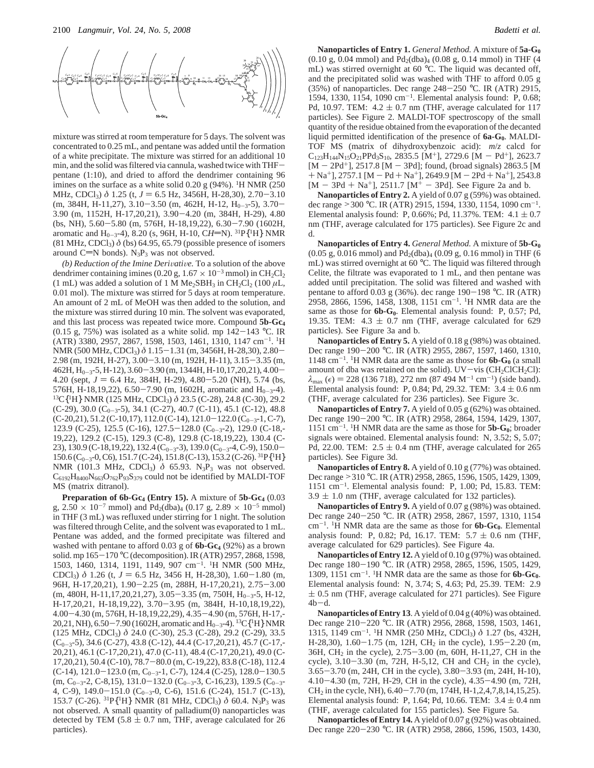

mixture was stirred at room temperature for 5 days. The solvent was concentrated to 0.25 mL, and pentane was added until the formation of a white precipitate. The mixture was stirred for an additional 10 min, and the solid was filtered via cannula, washed twice with THFpentane (1:10), and dried to afford the dendrimer containing 96 imines on the surface as a white solid 0.20 g (94%). <sup>1</sup>H NMR (250 MHz, CDCl<sub>3</sub>)  $\delta$  1.25 (t,  $J = 6.5$  Hz, 3456H, H-28,30), 2.70-3.10  $(m, 384H, H-11, 27), 3.10-3.50$   $(m, 462H, H-12, H_{0-3}5), 3.70-$ 3.90 (m, 1152H, H-17,20,21), 3.90-4.20 (m, 384H, H-29), 4.80 (bs, NH), 5.60-5.80 (m, 576H, H-18,19,22), 6.30-7.90 (1602H, aromatic and H<sub>0-3</sub>-4), 8.20 (s, 96H, H-10, CH=N). <sup>31</sup>P{<sup>1</sup>H} NMR  $(81 \text{ MHz}, \text{CDCl}_3) \delta$  (bs) 64.95, 65.79 (possible presence of isomers around C=N bonds).  $N_3P_3$  was not observed.

*(b) Reduction of the Imine Derivative.* To a solution of the above dendrimer containing imines (0.20 g,  $1.67 \times 10^{-3}$  mmol) in CH<sub>2</sub>Cl<sub>2</sub> (1 mL) was added a solution of 1 M Me<sub>2</sub>SBH<sub>3</sub> in CH<sub>2</sub>Cl<sub>2</sub> (100  $\mu$ L, 0.01 mol). The mixture was stirred for 5 days at room temperature. An amount of 2 mL of MeOH was then added to the solution, and the mixture was stirred during 10 min. The solvent was evaporated, and this last process was repeated twice more. Compound **5b-Gc4**  $(0.15 \text{ g}, 75\%)$  was isolated as a white solid. mp  $142-143 \text{ °C}$ . IR (ATR) 3380, 2957, 2867, 1598, 1503, 1461, 1310, 1147 cm-1. 1H NMR (500 MHz, CDCl3) *<sup>δ</sup>* 1.15-1.31 (m, 3456H, H-28,30), 2.80- 2.98 (m, 192H, H-27), 3.00-3.10 (m, 192H, H-11), 3.15-3.35 (m,  $462H, H_{0-3}$ -5, H-12), 3.60-3.90 (m, 1344H, H-10,17,20,21), 4.00-4.20 (sept,  $J = 6.4$  Hz, 384H, H-29), 4.80–5.20 (NH), 5.74 (bs, 576H, H-18,19,22), 6.50–7.90 (m, 1602H, aromatic and H<sub>0-3</sub>-4). <sup>13</sup>C{<sup>1</sup>H} NMR (125 MHz, CDCl<sub>3</sub>)  $\delta$  23.5 (C-28), 24.8 (C-30), 29.2  $(C-29)$ , 30.0  $(C_{0-3}-5)$ , 34.1  $(C-27)$ , 40.7  $(C-11)$ , 45.1  $(C-12)$ , 48.8  $(C-20,21)$ , 51.2  $(C-10,17)$ , 112.0  $(C-14)$ , 121.0-122.0  $(C_{0-3}-1, C-7)$ , 123.9 (C-25), 125.5 (C-16), 127.5-128.0 (C<sub>0-3</sub>-2), 129.0 (C-18,-19,22), 129.2 (C-15), 129.3 (C-8), 129.8 (C-18,19,22), 130.4 (C-23), 130.9 (C-18, 19, 22), 132.4 (C<sub>0-3</sub>-3), 139.0 (C<sub>0-3</sub>-4, C-9), 150.0- $150.6$  (C<sub>0-3</sub>-0, C6), 151.7 (C-24), 151.8 (C-13), 153.2 (C-26). <sup>31</sup>P{<sup>1</sup>H} NMR (101.3 MHz, CDCl<sub>3</sub>) δ 65.93. N<sub>3</sub>P<sub>3</sub> was not observed.  $C_{6192}H_{8400}N_{663}O_{762}P_{93}S_{379}$  could not be identified by MALDI-TOF MS (matrix ditranol).

**Preparation of 6b-Gc4 (Entry 15).** A mixture of **5b-Gc4** (0.03 g,  $2.50 \times 10^{-7}$  mmol) and Pd<sub>2</sub>(dba)<sub>4</sub> (0.17 g,  $2.89 \times 10^{-5}$  mmol) in THF (3 mL) was refluxed under stirring for 1 night. The solution was filtered through Celite, and the solvent was evaporated to 1 mL. Pentane was added, and the formed precipitate was filtered and washed with pentane to afford 0.03 g of **6b-Gc4** (92%) as a brown solid. mp 165-<sup>170</sup> °C (decomposition). IR (ATR) 2957, 2868, 1598, 1503, 1460, 1314, 1191, 1149, 907 cm-1. 1H NMR (500 MHz, CDCl<sub>3</sub>)  $\delta$  1.26 (t,  $J = 6.5$  Hz, 3456 H, H-28,30), 1.60-1.80 (m, 96H, H-17,20,21), 1.90-2.25 (m, 288H, H-17,20,21), 2.75-3.00  $(m, 480H, H-11, 17, 20, 21, 27), 3.05 - 3.35$   $(m, 750H, H_{0-3} - 5, H-12,$ H-17,20,21, H-18,19,22), 3.70-3.95 (m, 384H, H-10,18,19,22), 4.00-4.30 (m, 576H, H-18,19,22,29), 4.35-4.90 (m, 576H, H-17,- 20,21, NH),  $6.50-7.90$  (1602H, aromatic and  $H_{0-3}$ -4). <sup>13</sup>C{<sup>1</sup>H} NMR (125 MHz, CDCl3) *δ* 24.0 (C-30), 25.3 (C-28), 29.2 (C-29), 33.5  $(C_{0-3}$ -5), 34.6 (C-27), 43.8 (C-12), 44.4 (C-17, 20, 21), 45.7 (C-17,-20,21), 46.1 (C-17,20,21), 47.0 (C-11), 48.4 (C-17,20,21), 49.0 (C-17,20,21), 50.4 (C-10), 78.7-80.0 (m, C-19,22), 83.8 (C-18), 112.4  $(C-14)$ , 121.0-123.0 (m,  $C_{0-3}$ -1, C-7), 124.4 (C-25), 128.0-130.5  $(m, C_{0-3}$ -2, C-8,15), 131.0-132.0 (C<sub>0-3</sub>-3, C-16,23), 139.5 (C<sub>0-3</sub>-4, C-9),  $149.0-151.0$  (C<sub>0-3</sub>-0, C-6), 151.6 (C-24), 151.7 (C-13), 153.7 (C-26). <sup>31</sup>P{<sup>1</sup>H} NMR (81 MHz, CDCl<sub>3</sub>) δ 60.4. N<sub>3</sub>P<sub>3</sub> was not observed. A small quantity of palladium(0) nanoparticles was detected by TEM (5.8  $\pm$  0.7 nm, THF, average calculated for 26 particles).

**Nanoparticles of Entry 1.** *General Method.* A mixture of **5a-G0**  $(0.10 \text{ g}, 0.04 \text{ mmol})$  and  $Pd_2(dba)_4$   $(0.08 \text{ g}, 0.14 \text{ mmol})$  in THF  $(4 \text{ m})$ mL) was stirred overnight at 60 °C. The liquid was decanted off, and the precipitated solid was washed with THF to afford 0.05 g (35%) of nanoparticles. Dec range  $248-250$  °C. IR (ATR) 2915, 1594, 1330, 1154, 1090 cm-1. Elemental analysis found: P, 0.68; Pd, 10.97. TEM:  $4.2 \pm 0.7$  nm (THF, average calculated for 117 particles). See Figure 2. MALDI-TOF spectroscopy of the small quantity of the residue obtained from the evaporation of the decanted liquid permitted identification of the presence of **6a-G0**. MALDI-TOF MS (matrix of dihydroxybenzoic acid): *m*/*z* calcd for  $C_{123}H_{144}N_{15}O_{21}PPd_3S_{10}$ , 2835.5 [M<sup>+</sup>], 2729.6 [M - Pd<sup>+</sup>], 2623.7  $[M - 2Pd^{+}]$ , 2517.8  $[M - 3Pd]$ ; found, (broad signals) 2863.5 [M  $+$  Na<sup>+</sup>], 2757.1 [M – Pd + Na<sup>+</sup>], 2649.9 [M – 2Pd + Na<sup>+</sup>], 2543.8  $[M - 3Pd + Na^{+}]$ , 2511.7  $[M^{+} - 3Pd]$ . See Figure 2a and b.

**Nanoparticles of Entry 2.** A yield of 0.07 g (59%) was obtained. dec range <sup>&</sup>gt;<sup>300</sup> °C. IR (ATR) 2915, 1594, 1330, 1154, 1090 cm-1. Elemental analysis found: P, 0.66%; Pd, 11.37%. TEM:  $4.1 \pm 0.7$ nm (THF, average calculated for 175 particles). See Figure 2c and d.

**Nanoparticles of Entry 4.** *General Method.* A mixture of **5b-G0**  $(0.05 \text{ g}, 0.016 \text{ mmol})$  and  $Pd_2(dba)_{4}$   $(0.09 \text{ g}, 0.16 \text{ mmol})$  in THF (6) mL) was stirred overnight at 60 °C. The liquid was filtered through Celite, the filtrate was evaporated to 1 mL, and then pentane was added until precipitation. The solid was filtered and washed with pentane to afford 0.03 g (36%). dec range 190-<sup>198</sup> °C. IR (ATR) 2958, 2866, 1596, 1458, 1308, 1151 cm-1. 1H NMR data are the same as those for **6b-G<sub>0</sub>**. Elemental analysis found: P, 0.57; Pd, 19.35. TEM:  $4.3 \pm 0.7$  nm (THF, average calculated for 629 particles). See Figure 3a and b.

**Nanoparticles of Entry 5.** A yield of 0.18 g (98%) was obtained. Dec range 190-<sup>200</sup> °C. IR (ATR) 2955, 2867, 1597, 1460, 1310, 1148 cm<sup>-1</sup>. <sup>1</sup>H NMR data are the same as those for  $6b-G_0$  (a small amount of dba was retained on the solid).  $UV-vis$  (CH<sub>2</sub>ClCH<sub>2</sub>Cl):  $\lambda_{\text{max}}$  ( $\epsilon$ ) = 228 (136 718), 272 nm (87 494 M<sup>-1</sup> cm<sup>-1</sup>) (side band). Elemental analysis found: P, 0.84; Pd, 29.32. TEM:  $3.4 \pm 0.6$  nm (THF, average calculated for 236 particles). See Figure 3c.

**Nanoparticles of Entry 7.** A yield of 0.05 g (62%) was obtained. Dec range 190-<sup>200</sup> °C. IR (ATR) 2958, 2864, 1594, 1429, 1307, 1151 cm-1. 1H NMR data are the same as those for **5b-G0**; broader signals were obtained. Elemental analysis found: N, 3.52; S, 5.07; Pd, 22.00. TEM:  $2.5 \pm 0.4$  nm (THF, average calculated for 265 particles). See Figure 3d.

**Nanoparticles of Entry 8.** A yield of 0.10 g (77%) was obtained. Dec range ><sup>310</sup> °C. IR (ATR) 2958, 2865, 1596, 1505, 1429, 1309, 1151 cm-1. Elemental analysis found: P, 1.00; Pd, 15.83. TEM:  $3.9 \pm 1.0$  nm (THF, average calculated for 132 particles).

**Nanoparticles of Entry 9.** A yield of 0.07 g (98%) was obtained. Dec range 240-<sup>250</sup> °C. IR (ATR) 2958, 2867, 1597, 1310, 1154 cm<sup>-1</sup>. <sup>1</sup>H NMR data are the same as those for **6b-Gc**<sub>0</sub>. Elemental analysis found: P, 0.82; Pd, 16.17. TEM:  $5.7 \pm 0.6$  nm (THF, average calculated for 629 particles). See Figure 4a.

**Nanoparticles of Entry 12.** A yield of 0.10 g (97%) was obtained. Dec range 180-<sup>190</sup> °C. IR (ATR) 2958, 2865, 1596, 1505, 1429, 1309, 1151 cm<sup>-1</sup>. <sup>1</sup>H NMR data are the same as those for  $6b-$ Gc<sub>0</sub>. Elemental analysis found: N, 3.74; S, 4.63; Pd, 25.39. TEM: 2.9  $\pm$  0.5 nm (THF, average calculated for 271 particles). See Figure  $4b-d.$ 

**Nanoparticles of Entry 13**. A yield of 0.04 g (40%) was obtained. Dec range 210-<sup>220</sup> °C. IR (ATR) 2956, 2868, 1598, 1503, 1461, 1315, 1149 cm<sup>-1</sup>. <sup>1</sup>H NMR (250 MHz, CDCl<sub>3</sub>) δ 1.27 (bs, 432H, H-28,30),  $1.60 - 1.75$  (m, 12H, CH<sub>2</sub> in the cycle),  $1.95 - 2.20$  (m, 36H, CH2 in the cycle), 2.75-3.00 (m, 60H, H-11,27, CH in the cycle),  $3.10 - 3.30$  (m,  $72H$ , H-5,12, CH and CH<sub>2</sub> in the cycle), 3.65-3.70 (m, 24H, CH in the cycle), 3.80-3.93 (m, 24H, H-10), 4.10-4.30 (m, 72H, H-29, CH in the cycle), 4.35-4.90 (m, 72H,  $CH<sub>2</sub>$  in the cycle, NH), 6.40–7.70 (m, 174H, H-1,2,4,7,8,14,15,25). Elemental analysis found: P, 1.64; Pd, 10.66. TEM:  $3.4 \pm 0.4$  nm (THF, average calculated for 155 particles). See Figure 5a.

**Nanoparticles of Entry 14.** A yield of 0.07 g (92%) was obtained. Dec range 220-<sup>230</sup> °C. IR (ATR) 2958, 2866, 1596, 1503, 1430,